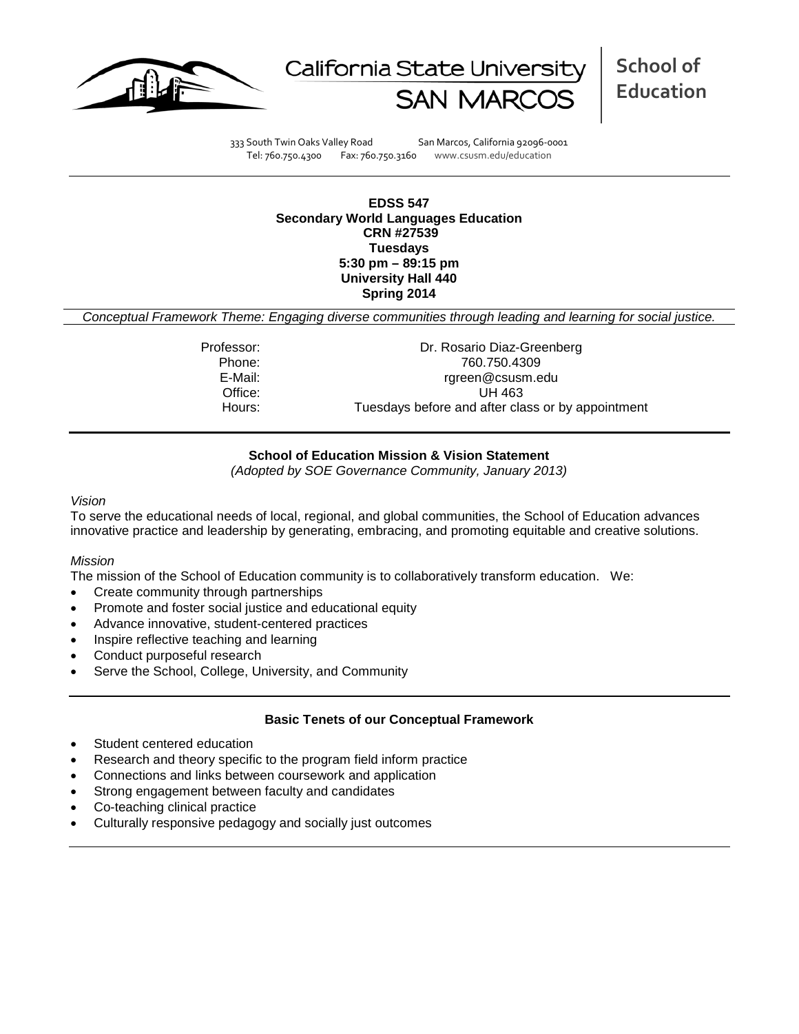



**School of Education**

333 South Twin Oaks Valley Road San Marcos, California 92096-0001 Tel: 760.750.4300 Fax: 760.750.3160 www.csusm.edu/education

**EDSS 547 Secondary World Languages Education CRN #27539 Tuesdays 5:30 pm – 89:15 pm University Hall 440 Spring 2014** 

*Conceptual Framework Theme: Engaging diverse communities through leading and learning for social justice.*

Professor: Dr. Rosario Diaz-Greenberg Phone: 760.750.4309<br>E-Mail: 700.750.4309<br>F-Mail: 700.750.4309 rgreen@csusm.edu Office: UH 463 Hours: Tuesdays before and after class or by appointment

#### **School of Education Mission & Vision Statement**

*(Adopted by SOE Governance Community, January 2013)*

#### *Vision*

To serve the educational needs of local, regional, and global communities, the School of Education advances innovative practice and leadership by generating, embracing, and promoting equitable and creative solutions.

#### *Mission*

The mission of the School of Education community is to collaboratively transform education. We:

- Create community through partnerships
- Promote and foster social justice and educational equity
- Advance innovative, student-centered practices
- Inspire reflective teaching and learning
- Conduct purposeful research
- Serve the School, College, University, and Community

#### **Basic Tenets of our Conceptual Framework**

- Student centered education
- Research and theory specific to the program field inform practice
- Connections and links between coursework and application
- Strong engagement between faculty and candidates
- Co-teaching clinical practice
- Culturally responsive pedagogy and socially just outcomes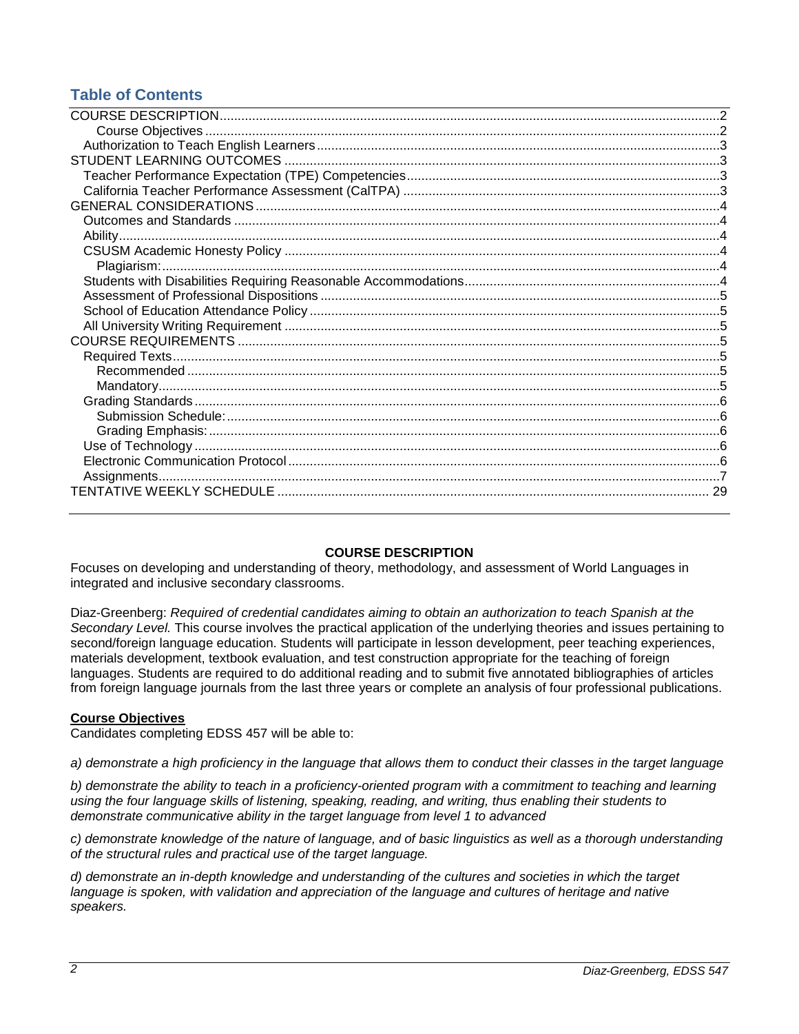## **Table of Contents**

## **COURSE DESCRIPTION**

<span id="page-1-0"></span>Focuses on developing and understanding of theory, methodology, and assessment of World Languages in integrated and inclusive secondary classrooms.

Diaz-Greenberg: *Required of credential candidates aiming to obtain an authorization to teach Spanish at the Secondary Level.* This course involves the practical application of the underlying theories and issues pertaining to second/foreign language education. Students will participate in lesson development, peer teaching experiences, materials development, textbook evaluation, and test construction appropriate for the teaching of foreign languages. Students are required to do additional reading and to submit five annotated bibliographies of articles from foreign language journals from the last three years or complete an analysis of four professional publications.

## <span id="page-1-1"></span>**Course Objectives**

Candidates completing EDSS 457 will be able to:

*a) demonstrate a high proficiency in the language that allows them to conduct their classes in the target language*

*b) demonstrate the ability to teach in a proficiency-oriented program with a commitment to teaching and learning using the four language skills of listening, speaking, reading, and writing, thus enabling their students to demonstrate communicative ability in the target language from level 1 to advanced*

*c) demonstrate knowledge of the nature of language, and of basic linguistics as well as a thorough understanding of the structural rules and practical use of the target language.* 

*d) demonstrate an in-depth knowledge and understanding of the cultures and societies in which the target*  language is spoken, with validation and appreciation of the language and cultures of heritage and native *speakers.*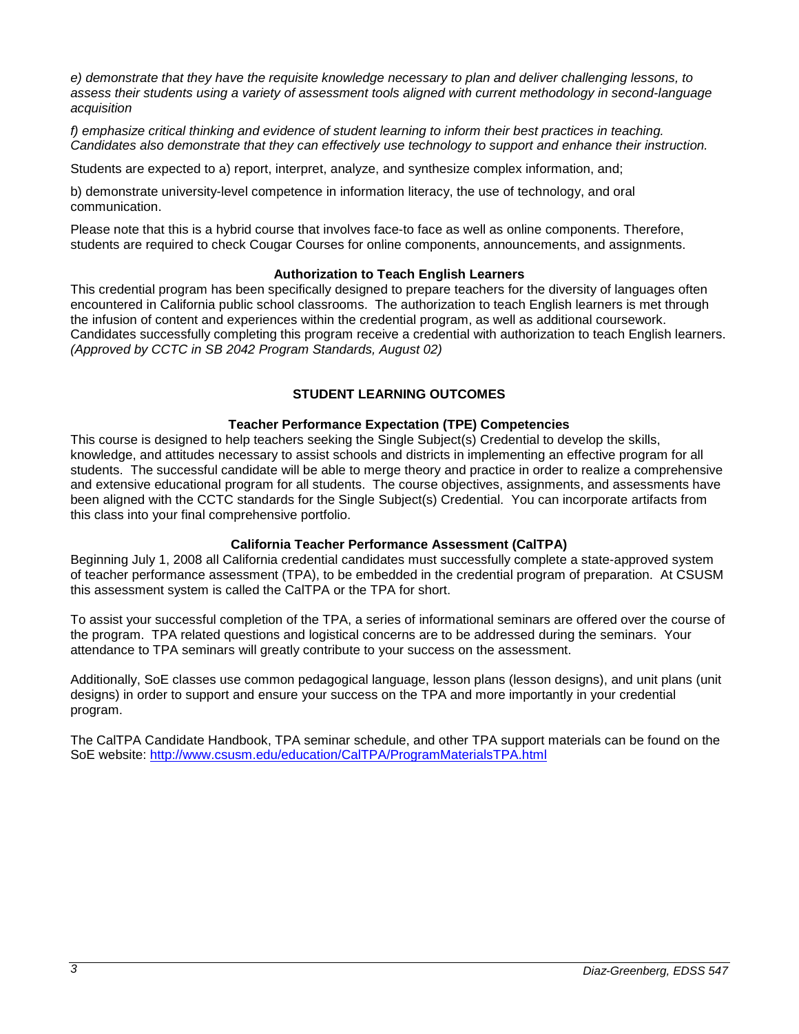*e) demonstrate that they have the requisite knowledge necessary to plan and deliver challenging lessons, to assess their students using a variety of assessment tools aligned with current methodology in second-language acquisition*

*f) emphasize critical thinking and evidence of student learning to inform their best practices in teaching. Candidates also demonstrate that they can effectively use technology to support and enhance their instruction.*

Students are expected to a) report, interpret, analyze, and synthesize complex information, and;

b) demonstrate university-level competence in information literacy, the use of technology, and oral communication.

Please note that this is a hybrid course that involves face-to face as well as online components. Therefore, students are required to check Cougar Courses for online components, announcements, and assignments.

#### **Authorization to Teach English Learners**

<span id="page-2-0"></span>This credential program has been specifically designed to prepare teachers for the diversity of languages often encountered in California public school classrooms. The authorization to teach English learners is met through the infusion of content and experiences within the credential program, as well as additional coursework. Candidates successfully completing this program receive a credential with authorization to teach English learners. *(Approved by CCTC in SB 2042 Program Standards, August 02)*

## **STUDENT LEARNING OUTCOMES**

## **Teacher Performance Expectation (TPE) Competencies**

<span id="page-2-2"></span><span id="page-2-1"></span>This course is designed to help teachers seeking the Single Subject(s) Credential to develop the skills, knowledge, and attitudes necessary to assist schools and districts in implementing an effective program for all students. The successful candidate will be able to merge theory and practice in order to realize a comprehensive and extensive educational program for all students. The course objectives, assignments, and assessments have been aligned with the CCTC standards for the Single Subject(s) Credential. You can incorporate artifacts from this class into your final comprehensive portfolio.

## **California Teacher Performance Assessment (CalTPA)**

<span id="page-2-3"></span>Beginning July 1, 2008 all California credential candidates must successfully complete a state-approved system of teacher performance assessment (TPA), to be embedded in the credential program of preparation. At CSUSM this assessment system is called the CalTPA or the TPA for short.

To assist your successful completion of the TPA, a series of informational seminars are offered over the course of the program. TPA related questions and logistical concerns are to be addressed during the seminars. Your attendance to TPA seminars will greatly contribute to your success on the assessment.

Additionally, SoE classes use common pedagogical language, lesson plans (lesson designs), and unit plans (unit designs) in order to support and ensure your success on the TPA and more importantly in your credential program.

<span id="page-2-4"></span>The CalTPA Candidate Handbook, TPA seminar schedule, and other TPA support materials can be found on the SoE website: <http://www.csusm.edu/education/CalTPA/ProgramMaterialsTPA.html>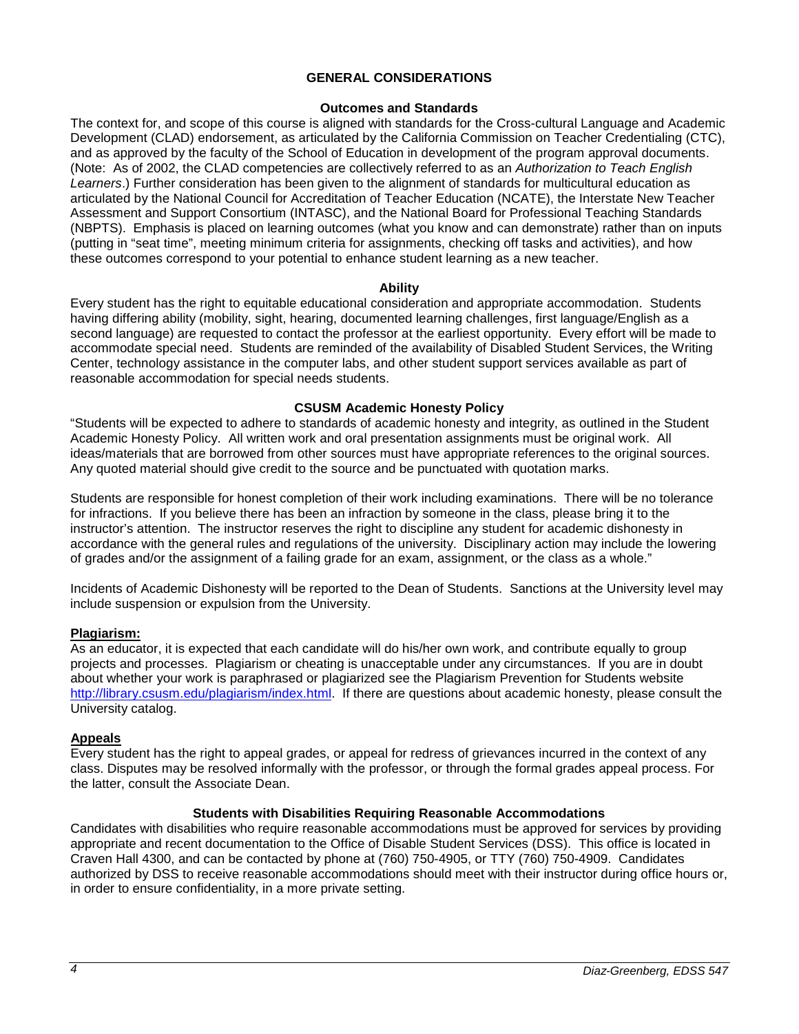#### **GENERAL CONSIDERATIONS**

#### **Outcomes and Standards**

<span id="page-3-0"></span>The context for, and scope of this course is aligned with standards for the Cross-cultural Language and Academic Development (CLAD) endorsement, as articulated by the California Commission on Teacher Credentialing (CTC), and as approved by the faculty of the School of Education in development of the program approval documents. (Note: As of 2002, the CLAD competencies are collectively referred to as an *Authorization to Teach English Learners*.) Further consideration has been given to the alignment of standards for multicultural education as articulated by the National Council for Accreditation of Teacher Education (NCATE), the Interstate New Teacher Assessment and Support Consortium (INTASC), and the National Board for Professional Teaching Standards (NBPTS). Emphasis is placed on learning outcomes (what you know and can demonstrate) rather than on inputs (putting in "seat time", meeting minimum criteria for assignments, checking off tasks and activities), and how these outcomes correspond to your potential to enhance student learning as a new teacher.

#### **Ability**

<span id="page-3-1"></span>Every student has the right to equitable educational consideration and appropriate accommodation. Students having differing ability (mobility, sight, hearing, documented learning challenges, first language/English as a second language) are requested to contact the professor at the earliest opportunity. Every effort will be made to accommodate special need. Students are reminded of the availability of Disabled Student Services, the Writing Center, technology assistance in the computer labs, and other student support services available as part of reasonable accommodation for special needs students.

## **CSUSM Academic Honesty Policy**

<span id="page-3-2"></span>"Students will be expected to adhere to standards of academic honesty and integrity, as outlined in the Student Academic Honesty Policy. All written work and oral presentation assignments must be original work. All ideas/materials that are borrowed from other sources must have appropriate references to the original sources. Any quoted material should give credit to the source and be punctuated with quotation marks.

Students are responsible for honest completion of their work including examinations. There will be no tolerance for infractions. If you believe there has been an infraction by someone in the class, please bring it to the instructor's attention. The instructor reserves the right to discipline any student for academic dishonesty in accordance with the general rules and regulations of the university. Disciplinary action may include the lowering of grades and/or the assignment of a failing grade for an exam, assignment, or the class as a whole."

Incidents of Academic Dishonesty will be reported to the Dean of Students. Sanctions at the University level may include suspension or expulsion from the University.

## <span id="page-3-3"></span>**Plagiarism:**

As an educator, it is expected that each candidate will do his/her own work, and contribute equally to group projects and processes. Plagiarism or cheating is unacceptable under any circumstances. If you are in doubt about whether your work is paraphrased or plagiarized see the Plagiarism Prevention for Students website [http://library.csusm.edu/plagiarism/index.html.](http://library.csusm.edu/plagiarism/index.html) If there are questions about academic honesty, please consult the University catalog.

#### **Appeals**

Every student has the right to appeal grades, or appeal for redress of grievances incurred in the context of any class. Disputes may be resolved informally with the professor, or through the formal grades appeal process. For the latter, consult the Associate Dean.

#### **Students with Disabilities Requiring Reasonable Accommodations**

<span id="page-3-5"></span><span id="page-3-4"></span>Candidates with disabilities who require reasonable accommodations must be approved for services by providing appropriate and recent documentation to the Office of Disable Student Services (DSS). This office is located in Craven Hall 4300, and can be contacted by phone at (760) 750-4905, or TTY (760) 750-4909. Candidates authorized by DSS to receive reasonable accommodations should meet with their instructor during office hours or, in order to ensure confidentiality, in a more private setting.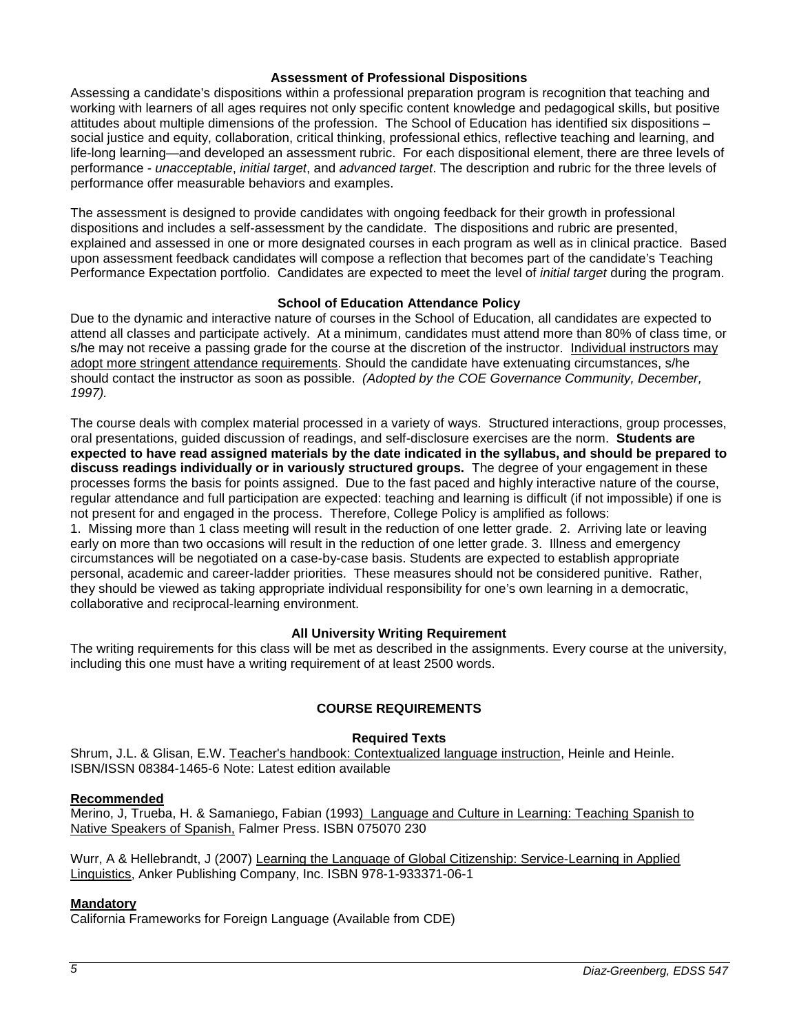#### **Assessment of Professional Dispositions**

Assessing a candidate's dispositions within a professional preparation program is recognition that teaching and working with learners of all ages requires not only specific content knowledge and pedagogical skills, but positive attitudes about multiple dimensions of the profession. The School of Education has identified six dispositions – social justice and equity, collaboration, critical thinking, professional ethics, reflective teaching and learning, and life-long learning—and developed an assessment rubric. For each dispositional element, there are three levels of performance - *unacceptable*, *initial target*, and *advanced target*. The description and rubric for the three levels of performance offer measurable behaviors and examples.

The assessment is designed to provide candidates with ongoing feedback for their growth in professional dispositions and includes a self-assessment by the candidate. The dispositions and rubric are presented, explained and assessed in one or more designated courses in each program as well as in clinical practice. Based upon assessment feedback candidates will compose a reflection that becomes part of the candidate's Teaching Performance Expectation portfolio. Candidates are expected to meet the level of *initial target* during the program.

#### **School of Education Attendance Policy**

<span id="page-4-0"></span>Due to the dynamic and interactive nature of courses in the School of Education, all candidates are expected to attend all classes and participate actively. At a minimum, candidates must attend more than 80% of class time, or s/he may not receive a passing grade for the course at the discretion of the instructor. Individual instructors may adopt more stringent attendance requirements. Should the candidate have extenuating circumstances, s/he should contact the instructor as soon as possible. *(Adopted by the COE Governance Community, December, 1997).*

The course deals with complex material processed in a variety of ways. Structured interactions, group processes, oral presentations, guided discussion of readings, and self-disclosure exercises are the norm. **Students are expected to have read assigned materials by the date indicated in the syllabus, and should be prepared to discuss readings individually or in variously structured groups.** The degree of your engagement in these processes forms the basis for points assigned. Due to the fast paced and highly interactive nature of the course, regular attendance and full participation are expected: teaching and learning is difficult (if not impossible) if one is not present for and engaged in the process. Therefore, College Policy is amplified as follows:

1. Missing more than 1 class meeting will result in the reduction of one letter grade. 2. Arriving late or leaving early on more than two occasions will result in the reduction of one letter grade. 3. Illness and emergency circumstances will be negotiated on a case-by-case basis. Students are expected to establish appropriate personal, academic and career-ladder priorities. These measures should not be considered punitive. Rather, they should be viewed as taking appropriate individual responsibility for one's own learning in a democratic, collaborative and reciprocal-learning environment.

#### **All University Writing Requirement**

<span id="page-4-1"></span>The writing requirements for this class will be met as described in the assignments. Every course at the university, including this one must have a writing requirement of at least 2500 words.

#### **COURSE REQUIREMENTS**

#### **Required Texts**

<span id="page-4-3"></span><span id="page-4-2"></span>Shrum, J.L. & Glisan, E.W. Teacher's handbook: Contextualized language instruction, Heinle and Heinle. ISBN/ISSN 08384-1465-6 Note: Latest edition available

#### <span id="page-4-4"></span>**Recommended**

Merino, J, Trueba, H. & Samaniego, Fabian (1993) Language and Culture in Learning: Teaching Spanish to Native Speakers of Spanish, Falmer Press. ISBN 075070 230

Wurr, A & Hellebrandt, J (2007) Learning the Language of Global Citizenship: Service-Learning in Applied Linguistics, Anker Publishing Company, Inc. ISBN 978-1-933371-06-1

#### <span id="page-4-5"></span>**Mandatory**

<span id="page-4-6"></span>California Frameworks for Foreign Language (Available from CDE)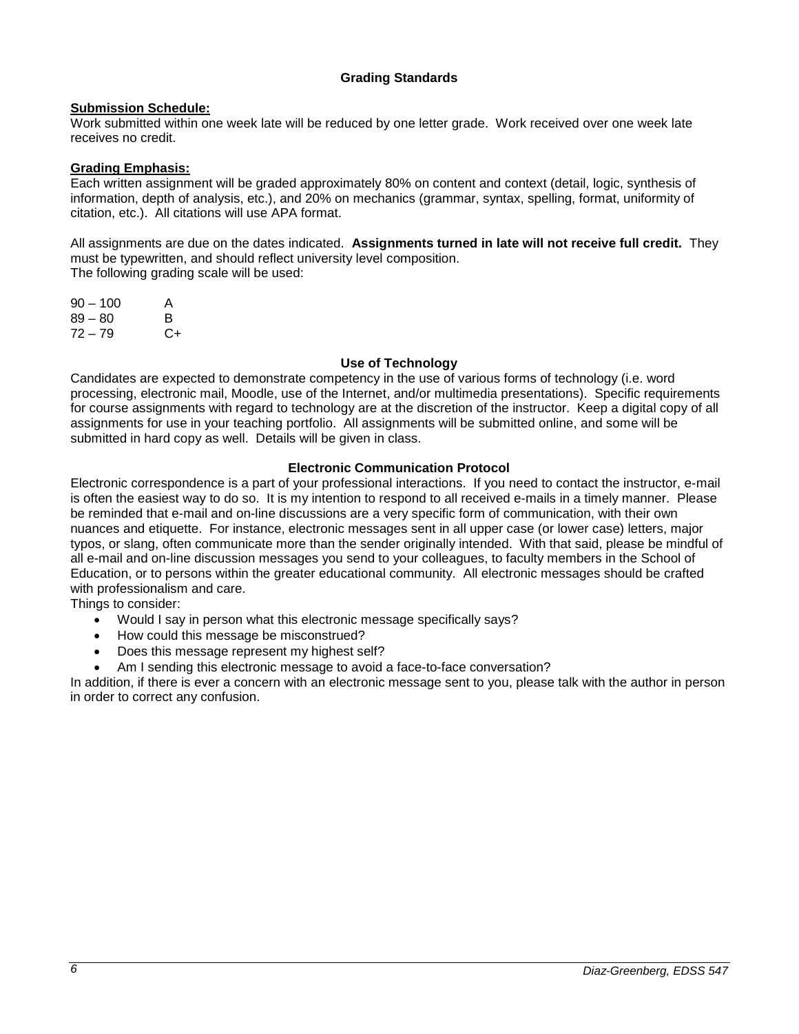## **Grading Standards**

## <span id="page-5-0"></span>**Submission Schedule:**

Work submitted within one week late will be reduced by one letter grade. Work received over one week late receives no credit.

#### <span id="page-5-1"></span>**Grading Emphasis:**

Each written assignment will be graded approximately 80% on content and context (detail, logic, synthesis of information, depth of analysis, etc.), and 20% on mechanics (grammar, syntax, spelling, format, uniformity of citation, etc.). All citations will use APA format.

All assignments are due on the dates indicated. **Assignments turned in late will not receive full credit.** They must be typewritten, and should reflect university level composition. The following grading scale will be used:

| $90 - 100$ | A  |
|------------|----|
| 89 – 80    | B  |
| 72 – 79    | C+ |

#### **Use of Technology**

<span id="page-5-2"></span>Candidates are expected to demonstrate competency in the use of various forms of technology (i.e. word processing, electronic mail, Moodle, use of the Internet, and/or multimedia presentations). Specific requirements for course assignments with regard to technology are at the discretion of the instructor. Keep a digital copy of all assignments for use in your teaching portfolio. All assignments will be submitted online, and some will be submitted in hard copy as well. Details will be given in class.

#### **Electronic Communication Protocol**

<span id="page-5-3"></span>Electronic correspondence is a part of your professional interactions. If you need to contact the instructor, e-mail is often the easiest way to do so. It is my intention to respond to all received e-mails in a timely manner. Please be reminded that e-mail and on-line discussions are a very specific form of communication, with their own nuances and etiquette. For instance, electronic messages sent in all upper case (or lower case) letters, major typos, or slang, often communicate more than the sender originally intended. With that said, please be mindful of all e-mail and on-line discussion messages you send to your colleagues, to faculty members in the School of Education, or to persons within the greater educational community. All electronic messages should be crafted with professionalism and care.

Things to consider:

- Would I say in person what this electronic message specifically says?
- How could this message be misconstrued?
- Does this message represent my highest self?
- Am I sending this electronic message to avoid a face-to-face conversation?

In addition, if there is ever a concern with an electronic message sent to you, please talk with the author in person in order to correct any confusion.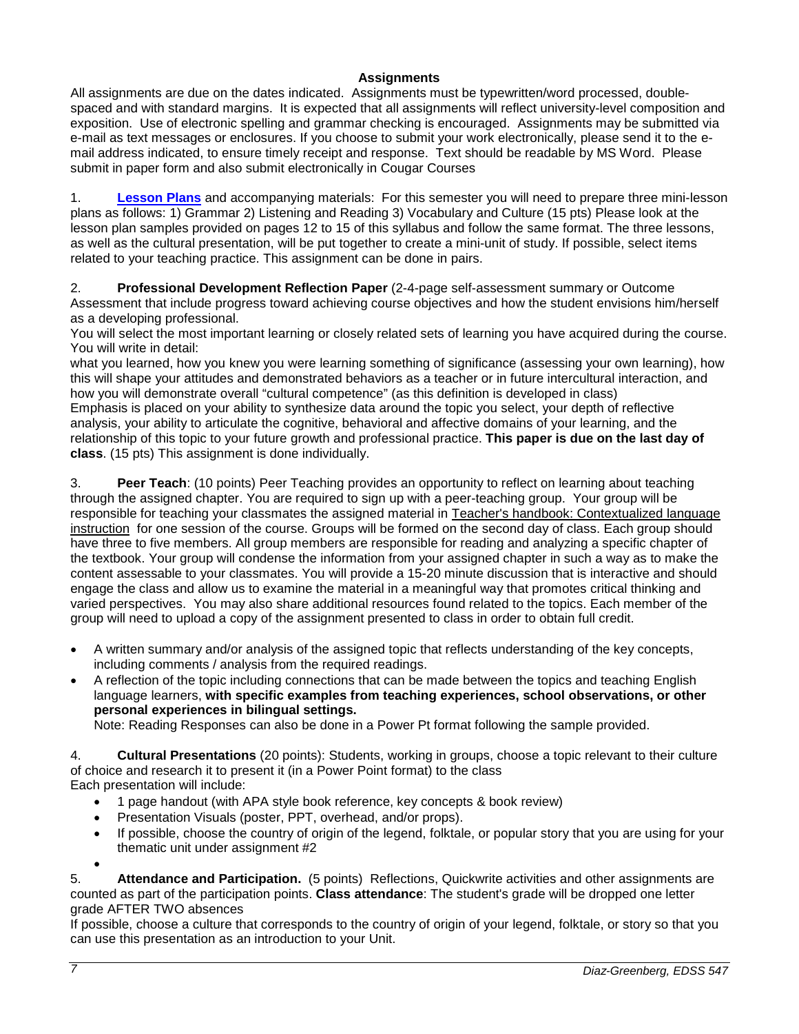## **Assignments**

<span id="page-6-0"></span>All assignments are due on the dates indicated. Assignments must be typewritten/word processed, doublespaced and with standard margins. It is expected that all assignments will reflect university-level composition and exposition. Use of electronic spelling and grammar checking is encouraged. Assignments may be submitted via e-mail as text messages or enclosures. If you choose to submit your work electronically, please send it to the email address indicated, to ensure timely receipt and response. Text should be readable by MS Word. Please submit in paper form and also submit electronically in Cougar Courses

1. **[Lesson Plans](http://www.ashland.edu/~bschmidt/LessonPlanFormat.htm)** and accompanying materials: For this semester you will need to prepare three mini-lesson plans as follows: 1) Grammar 2) Listening and Reading 3) Vocabulary and Culture (15 pts) Please look at the lesson plan samples provided on pages 12 to 15 of this syllabus and follow the same format. The three lessons, as well as the cultural presentation, will be put together to create a mini-unit of study. If possible, select items related to your teaching practice. This assignment can be done in pairs.

2. **Professional Development Reflection Paper** (2-4-page self-assessment summary or Outcome Assessment that include progress toward achieving course objectives and how the student envisions him/herself as a developing professional.

You will select the most important learning or closely related sets of learning you have acquired during the course. You will write in detail:

what you learned, how you knew you were learning something of significance (assessing your own learning), how this will shape your attitudes and demonstrated behaviors as a teacher or in future intercultural interaction, and how you will demonstrate overall "cultural competence" (as this definition is developed in class) Emphasis is placed on your ability to synthesize data around the topic you select, your depth of reflective analysis, your ability to articulate the cognitive, behavioral and affective domains of your learning, and the relationship of this topic to your future growth and professional practice. **This paper is due on the last day of class**. (15 pts) This assignment is done individually.

3. **Peer Teach**: (10 points) Peer Teaching provides an opportunity to reflect on learning about teaching through the assigned chapter. You are required to sign up with a peer-teaching group. Your group will be responsible for teaching your classmates the assigned material in Teacher's handbook: Contextualized language instruction for one session of the course. Groups will be formed on the second day of class. Each group should have three to five members. All group members are responsible for reading and analyzing a specific chapter of the textbook. Your group will condense the information from your assigned chapter in such a way as to make the content assessable to your classmates. You will provide a 15-20 minute discussion that is interactive and should engage the class and allow us to examine the material in a meaningful way that promotes critical thinking and varied perspectives. You may also share additional resources found related to the topics. Each member of the group will need to upload a copy of the assignment presented to class in order to obtain full credit.

- A written summary and/or analysis of the assigned topic that reflects understanding of the key concepts, including comments / analysis from the required readings.
- A reflection of the topic including connections that can be made between the topics and teaching English language learners, **with specific examples from teaching experiences, school observations, or other personal experiences in bilingual settings.**

Note: Reading Responses can also be done in a Power Pt format following the sample provided.

4. **Cultural Presentations** (20 points): Students, working in groups, choose a topic relevant to their culture of choice and research it to present it (in a Power Point format) to the class

Each presentation will include:

- 1 page handout (with APA style book reference, key concepts & book review)
- Presentation Visuals (poster, PPT, overhead, and/or props).
- If possible, choose the country of origin of the legend, folktale, or popular story that you are using for your thematic unit under assignment #2

•

5. **Attendance and Participation.** (5 points) Reflections, Quickwrite activities and other assignments are counted as part of the participation points. **Class attendance**: The student's grade will be dropped one letter grade AFTER TWO absences

If possible, choose a culture that corresponds to the country of origin of your legend, folktale, or story so that you can use this presentation as an introduction to your Unit.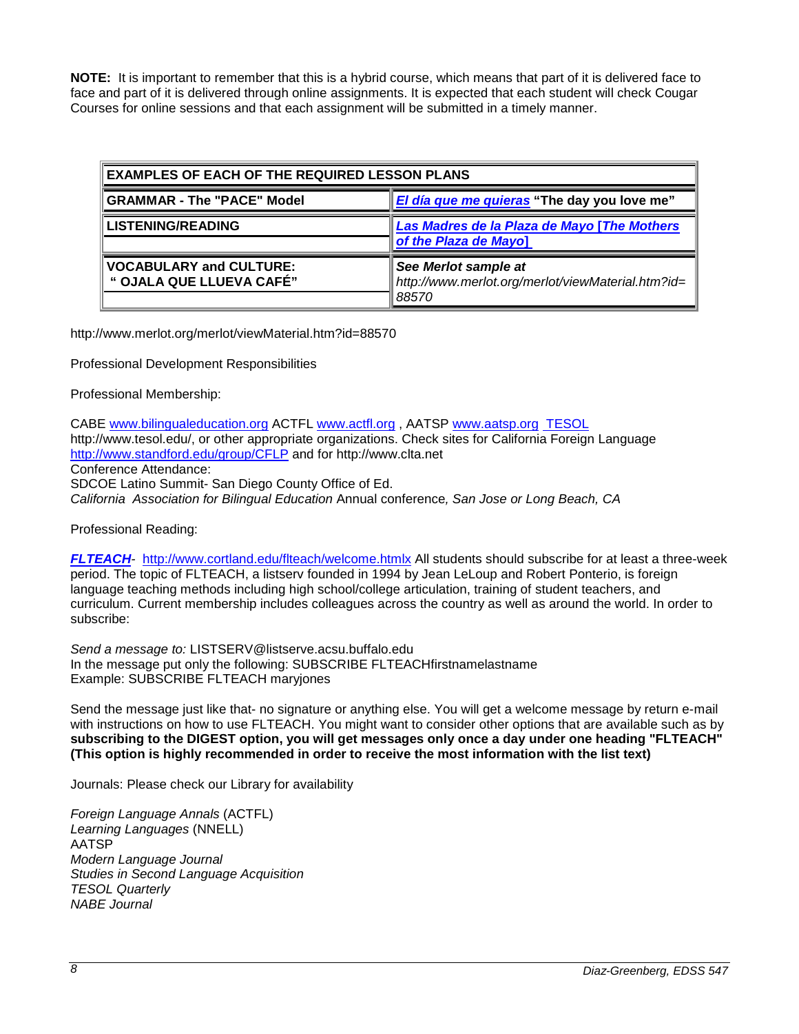**NOTE:** It is important to remember that this is a hybrid course, which means that part of it is delivered face to face and part of it is delivered through online assignments. It is expected that each student will check Cougar Courses for online sessions and that each assignment will be submitted in a timely manner.

| <b>EXAMPLES OF EACH OF THE REQUIRED LESSON PLANS</b>                             |                                                                                    |  |  |
|----------------------------------------------------------------------------------|------------------------------------------------------------------------------------|--|--|
| El día que me quieras "The day you love me"<br><b>GRAMMAR - The "PACE" Model</b> |                                                                                    |  |  |
| <b>LISTENING/READING</b>                                                         | Las Madres de la Plaza de Mayo [The Mothers<br>of the Plaza de Mayo]               |  |  |
| <b>VOCABULARY and CULTURE:</b><br>" OJALA QUE LLUEVA CAFÉ"                       | See Merlot sample at<br>http://www.merlot.org/merlot/viewMaterial.htm?id=<br>88570 |  |  |

http://www.merlot.org/merlot/viewMaterial.htm?id=88570

Professional Development Responsibilities

Professional Membership:

CABE [www.bilingualeducation.org](http://www.bilingualeducation.org/) ACTFL [www.actfl.org](http://www.actfl.org/) , AATSP [www.aatsp.org](http://www.aatsp.org/) [TESOL](http://www.tesol.edu/) http://www.tesol.edu/, or other appropriate organizations. Check sites for California Foreign Language <http://www.standford.edu/group/CFLP> and for http://www.clta.net Conference Attendance: SDCOE Latino Summit- San Diego County Office of Ed. *California Association for Bilingual Education* Annual conference*, San Jose or Long Beach, CA* 

Professional Reading:

*[FLTEACH](http://www.cortland.edu/www/flteach/welcome.htmlx)-* <http://www.cortland.edu/flteach/welcome.htmlx> All students should subscribe for at least a three-week period. The topic of FLTEACH, a listserv founded in 1994 by Jean LeLoup and Robert Ponterio, is foreign language teaching methods including high school/college articulation, training of student teachers, and curriculum. Current membership includes colleagues across the country as well as around the world. In order to subscribe:

*Send a message to:* LISTSERV@listserve.acsu.buffalo.edu In the message put only the following: SUBSCRIBE FLTEACHfirstnamelastname Example: SUBSCRIBE FLTEACH maryjones

Send the message just like that- no signature or anything else. You will get a welcome message by return e-mail with instructions on how to use FLTEACH. You might want to consider other options that are available such as by **subscribing to the DIGEST option, you will get messages only once a day under one heading "FLTEACH" (This option is highly recommended in order to receive the most information with the list text)**

Journals: Please check our Library for availability

*Foreign Language Annals* (ACTFL) *Learning Languages* (NNELL) AATSP *Modern Language Journal Studies in Second Language Acquisition TESOL Quarterly NABE Journal*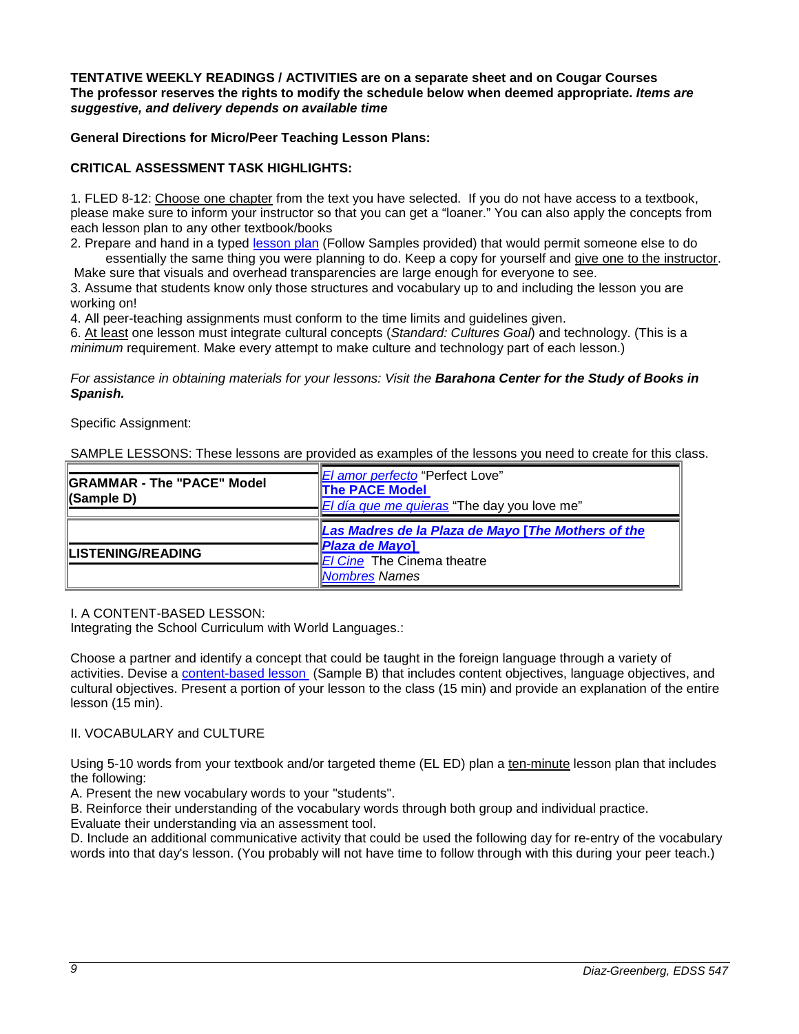#### **TENTATIVE WEEKLY READINGS / ACTIVITIES are on a separate sheet and on Cougar Courses The professor reserves the rights to modify the schedule below when deemed appropriate.** *Items are suggestive, and delivery depends on available time*

## **General Directions for Micro/Peer Teaching Lesson Plans:**

## **CRITICAL ASSESSMENT TASK HIGHLIGHTS:**

1. FLED 8-12: Choose one chapter from the text you have selected. If you do not have access to a textbook, please make sure to inform your instructor so that you can get a "loaner." You can also apply the concepts from each lesson plan to any other textbook/books

2. Prepare and hand in a typed [lesson plan](http://www.ashland.edu/~bschmidt/LessonPlanFormat.htm) (Follow Samples provided) that would permit someone else to do essentially the same thing you were planning to do. Keep a copy for yourself and give one to the instructor.

Make sure that visuals and overhead transparencies are large enough for everyone to see. 3. Assume that students know only those structures and vocabulary up to and including the lesson you are working on!

4. All peer-teaching assignments must conform to the time limits and guidelines given.

6. At least one lesson must integrate cultural concepts (*Standard: Cultures Goal*) and technology. (This is a *minimum* requirement. Make every attempt to make culture and technology part of each lesson.)

*For assistance in obtaining materials for your lessons: Visit the Barahona Center for the Study of Books in Spanish.*

#### Specific Assignment:

SAMPLE LESSONS: These lessons are provided as examples of the lessons you need to create for this class.

| <b>IGRAMMAR - The "PACE" Model</b><br>CSample D) | <i>El amor perfecto</i> "Perfect Love"<br><b>The PACE Model</b><br><i>El día que me quieras</i> "The day you love me" |  |  |
|--------------------------------------------------|-----------------------------------------------------------------------------------------------------------------------|--|--|
|                                                  | Las Madres de la Plaza de Mayo [The Mothers of the                                                                    |  |  |
| <b>LISTENING/READING</b>                         | Plaza de Mayo]<br>El Cine The Cinema theatre                                                                          |  |  |
|                                                  | Nombres Names                                                                                                         |  |  |

I. A CONTENT-BASED LESSON:

Integrating the School Curriculum with World Languages.:

Choose a partner and identify a concept that could be taught in the foreign language through a variety of activities. Devise a [content-based lesson \(](http://www.ashland.edu/~bschmidt/contentbasedlessonplanformat.htm)Sample B) that includes content objectives, language objectives, and cultural objectives. Present a portion of your lesson to the class (15 min) and provide an explanation of the entire lesson (15 min).

## II. VOCABULARY and CULTURE

Using 5-10 words from your textbook and/or targeted theme (EL ED) plan a ten-minute lesson plan that includes the following:

A. Present the new vocabulary words to your "students".

B. Reinforce their understanding of the vocabulary words through both group and individual practice.

Evaluate their understanding via an assessment tool.

D. Include an additional communicative activity that could be used the following day for re-entry of the vocabulary words into that day's lesson. (You probably will not have time to follow through with this during your peer teach.)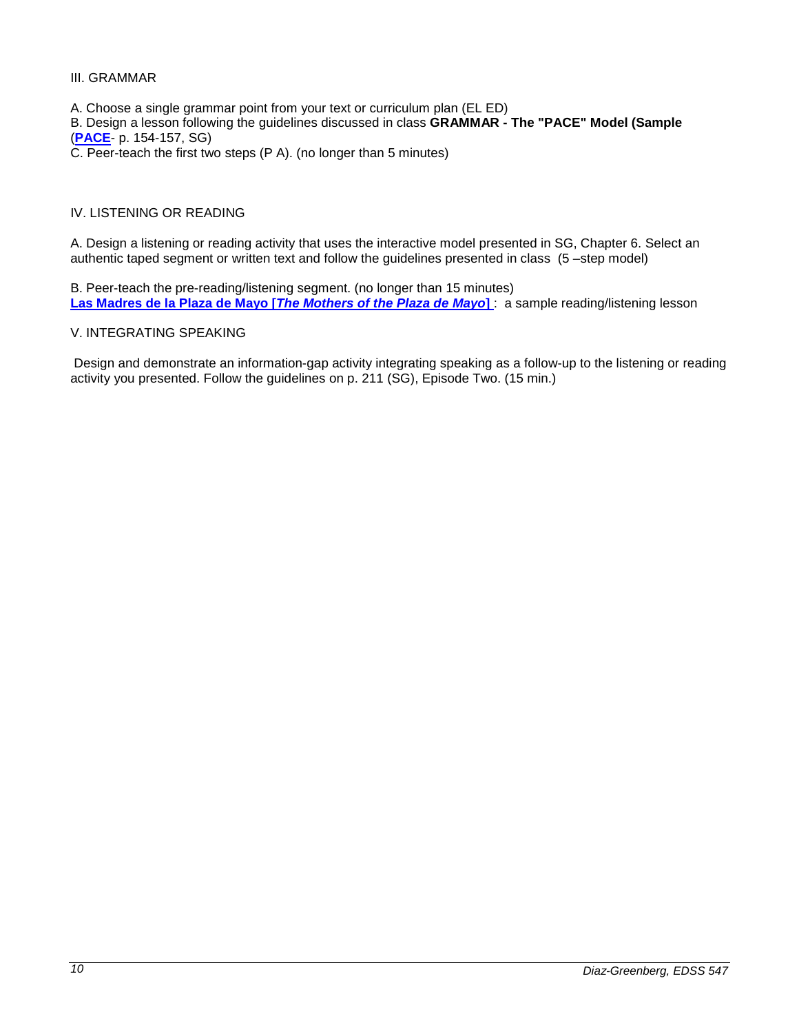#### III. GRAMMAR

- A. Choose a single grammar point from your text or curriculum plan (EL ED)
- B. Design a lesson following the guidelines discussed in class **GRAMMAR - The "PACE" Model (Sample** (**[PACE](http://www.cortland.edu/flteach/mexico/pace.html)**- p. 154-157, SG)
- C. Peer-teach the first two steps (P A). (no longer than 5 minutes)

#### IV. LISTENING OR READING

A. Design a listening or reading activity that uses the interactive model presented in SG, Chapter 6. Select an authentic taped segment or written text and follow the guidelines presented in class (5 –step model)

B. Peer-teach the pre-reading/listening segment. (no longer than 15 minutes) **Las Madres de la Plaza de Mayo [***[The Mothers of the Plaza de Mayo](http://www.ashland.edu/~bschmidt/madres.htm)***]** : a sample reading/listening lesson

#### V. INTEGRATING SPEAKING

Design and demonstrate an information-gap activity integrating speaking as a follow-up to the listening or reading activity you presented. Follow the guidelines on p. 211 (SG), Episode Two. (15 min.)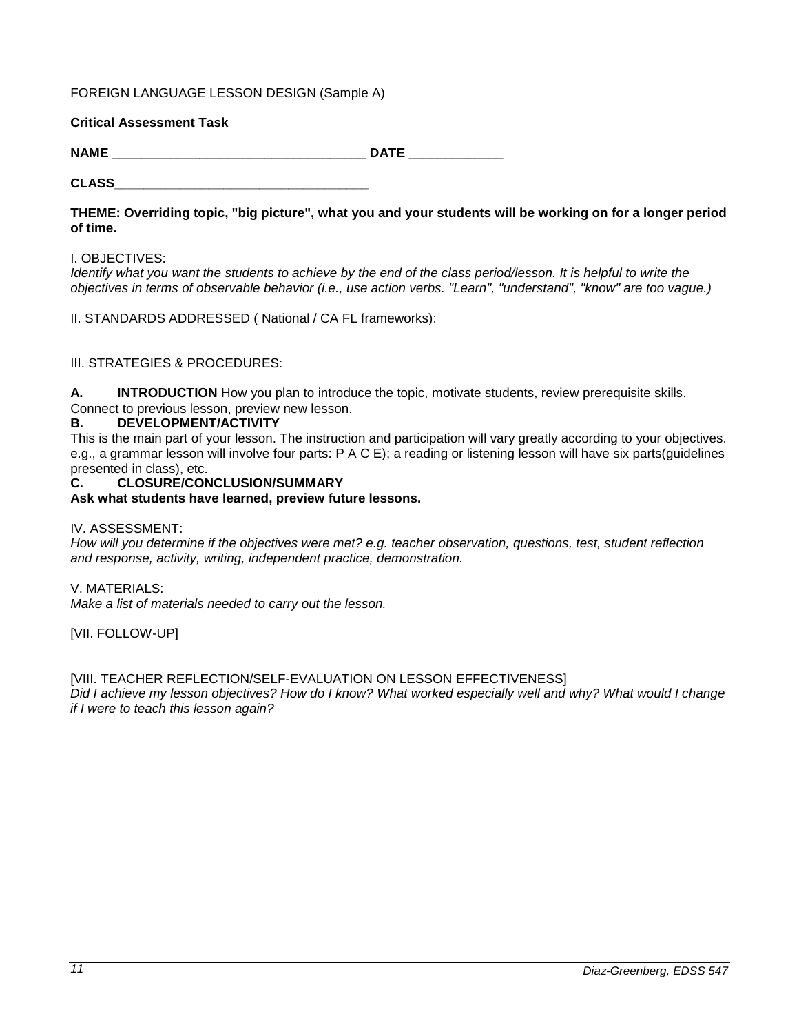## FOREIGN LANGUAGE LESSON DESIGN (Sample A)

## **Critical Assessment Task**

NAME DATE

**CLASS\_\_\_\_\_\_\_\_\_\_\_\_\_\_\_\_\_\_\_\_\_\_\_\_\_\_\_\_\_\_\_\_\_\_\_**

**THEME: Overriding topic, "big picture", what you and your students will be working on for a longer period of time.**

#### I. OBJECTIVES:

*Identify what you want the students to achieve by the end of the class period/lesson. It is helpful to write the objectives in terms of observable behavior (i.e., use action verbs. "Learn", "understand", "know" are too vague.)*

II. STANDARDS ADDRESSED ( National / CA FL frameworks):

## III. STRATEGIES & PROCEDURES:

**A. INTRODUCTION** How you plan to introduce the topic, motivate students, review prerequisite skills.

## Connect to previous lesson, preview new lesson.

## **B. DEVELOPMENT/ACTIVITY**

This is the main part of your lesson. The instruction and participation will vary greatly according to your objectives. e.g., a grammar lesson will involve four parts: P A C E); a reading or listening lesson will have six parts(guidelines presented in class), etc.

#### **C. CLOSURE/CONCLUSION/SUMMARY**

**Ask what students have learned, preview future lessons.**

#### IV. ASSESSMENT:

*How will you determine if the objectives were met? e.g. teacher observation, questions, test, student reflection and response, activity, writing, independent practice, demonstration.*

#### V. MATERIALS:

*Make a list of materials needed to carry out the lesson.*

[VII. FOLLOW-UP]

#### [VIII. TEACHER REFLECTION/SELF-EVALUATION ON LESSON EFFECTIVENESS]

*Did I achieve my lesson objectives? How do I know? What worked especially well and why? What would I change if I were to teach this lesson again?*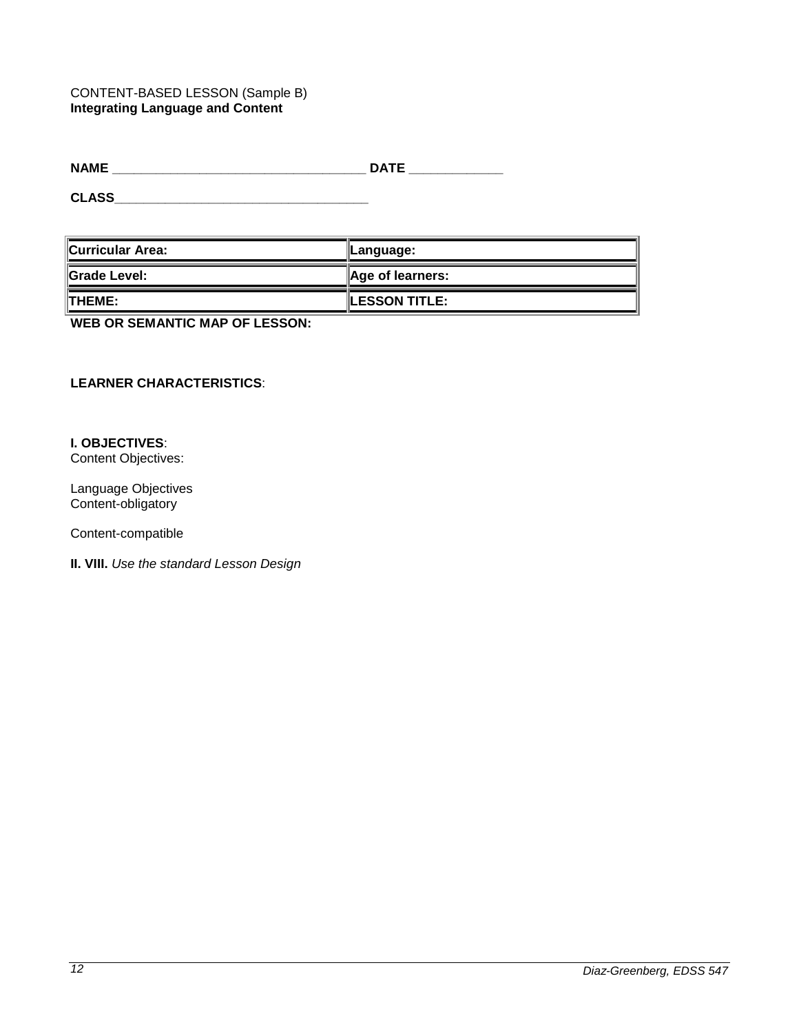## CONTENT-BASED LESSON (Sample B) **Integrating Language and Content**

**NAME \_\_\_\_\_\_\_\_\_\_\_\_\_\_\_\_\_\_\_\_\_\_\_\_\_\_\_\_\_\_\_\_\_\_\_ DATE \_\_\_\_\_\_\_\_\_\_\_\_\_**

**CLASS\_\_\_\_\_\_\_\_\_\_\_\_\_\_\_\_\_\_\_\_\_\_\_\_\_\_\_\_\_\_\_\_\_\_\_**

| ∥Curricular Area: | ∥Language:                   |  |
|-------------------|------------------------------|--|
| ∥Grade Level:     | $\parallel$ Age of learners: |  |
| <b>ITHEME:</b>    | <b>LESSON TITLE:</b>         |  |

**WEB OR SEMANTIC MAP OF LESSON:**

## **LEARNER CHARACTERISTICS**:

## **I. OBJECTIVES**:

Content Objectives:

Language Objectives Content-obligatory

Content-compatible

**II. VIII.** *Use the standard Lesson Design*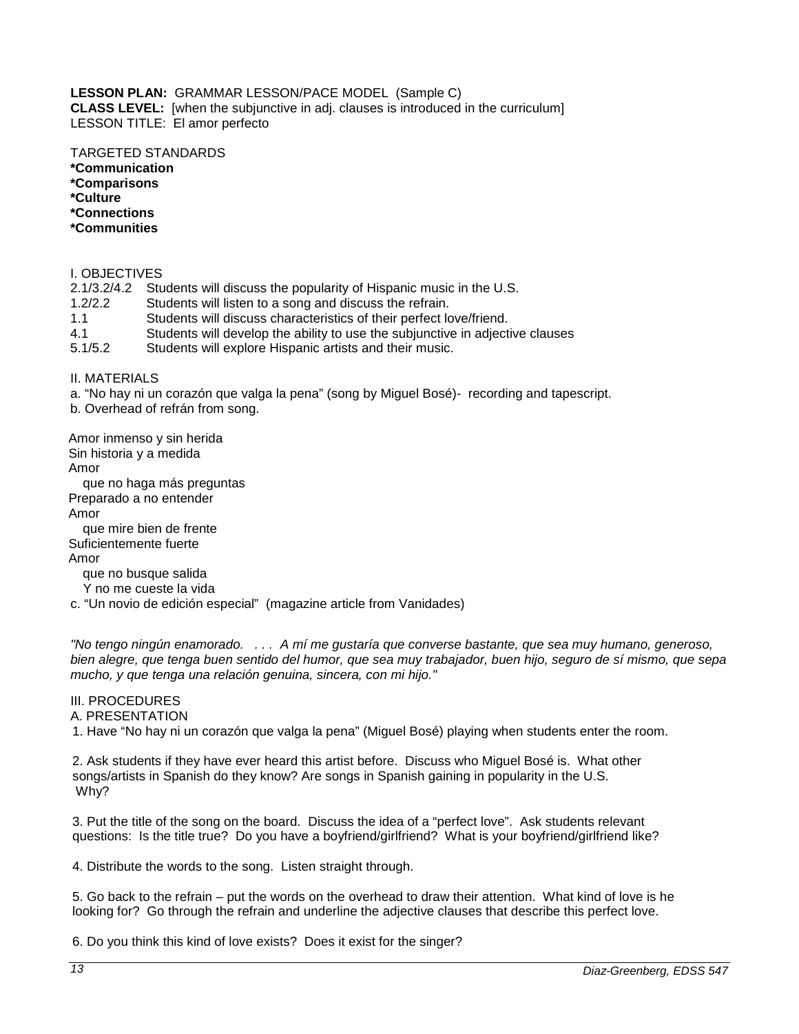#### **LESSON PLAN:** GRAMMAR LESSON/PACE MODEL (Sample C) **CLASS LEVEL:** [when the subjunctive in adj. clauses is introduced in the curriculum] LESSON TITLE: El amor perfecto

## TARGETED STANDARDS

**\*Communication**

**\*Comparisons**

**\*Culture**

**\*Connections**

**\*Communities**

#### I. OBJECTIVES

2.1/3.2/4.2 Students will discuss the popularity of Hispanic music in the U.S.

1.2/2.2 Students will listen to a song and discuss the refrain.

1.1 Students will discuss characteristics of their perfect love/friend.

4.1 Students will develop the ability to use the subjunctive in adjective clauses<br>5.1/5.2 Students will explore Hispanic artists and their music.

Students will explore Hispanic artists and their music.

#### II. MATERIALS

a. "No hay ni un corazón que valga la pena" (song by Miguel Bosé)- recording and tapescript.

b. Overhead of refrán from song.

Amor inmenso y sin herida Sin historia y a medida Amor que no haga más preguntas Preparado a no entender

Amor

 que mire bien de frente Suficientemente fuerte

Amor

que no busque salida

Y no me cueste la vida

c. "Un novio de edición especial" (magazine article from Vanidades)

*"No tengo ningún enamorado. . . . A mí me gustaría que converse bastante, que sea muy humano, generoso, bien alegre, que tenga buen sentido del humor, que sea muy trabajador, buen hijo, seguro de sí mismo, que sepa mucho, y que tenga una relación genuina, sincera, con mi hijo."*

#### III. PROCEDURES

A. PRESENTATION

1. Have "No hay ni un corazón que valga la pena" (Miguel Bosé) playing when students enter the room.

2. Ask students if they have ever heard this artist before. Discuss who Miguel Bosé is. What other songs/artists in Spanish do they know? Are songs in Spanish gaining in popularity in the U.S. Why?

3. Put the title of the song on the board. Discuss the idea of a "perfect love". Ask students relevant questions: Is the title true? Do you have a boyfriend/girlfriend? What is your boyfriend/girlfriend like?

4. Distribute the words to the song. Listen straight through.

5. Go back to the refrain – put the words on the overhead to draw their attention. What kind of love is he looking for? Go through the refrain and underline the adjective clauses that describe this perfect love.

6. Do you think this kind of love exists? Does it exist for the singer?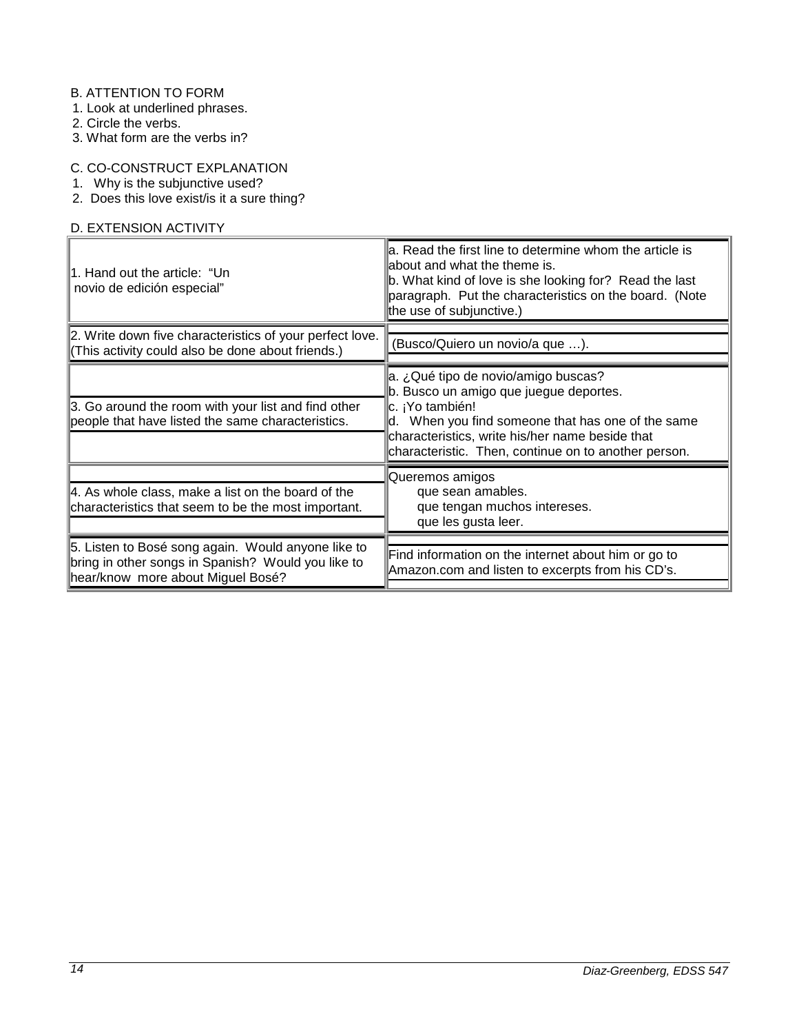## B. ATTENTION TO FORM

1. Look at underlined phrases.

- 2. Circle the verbs.
- 3. What form are the verbs in?

## C. CO-CONSTRUCT EXPLANATION

- 1. Why is the subjunctive used?
- 2. Does this love exist/is it a sure thing?

# D. EXTENSION ACTIVITY

| 1. Hand out the article: "Un<br>novio de edición especial"                                                                                    | a. Read the first line to determine whom the article is<br>about and what the theme is.<br>b. What kind of love is she looking for? Read the last<br>paragraph. Put the characteristics on the board. (Note<br>the use of subjunctive.)                           |
|-----------------------------------------------------------------------------------------------------------------------------------------------|-------------------------------------------------------------------------------------------------------------------------------------------------------------------------------------------------------------------------------------------------------------------|
| 2. Write down five characteristics of your perfect love.<br>(This activity could also be done about friends.)                                 | (Busco/Quiero un novio/a que ).                                                                                                                                                                                                                                   |
| 3. Go around the room with your list and find other<br>people that have listed the same characteristics.                                      | a. ¿Qué tipo de novio/amigo buscas?<br>b. Busco un amigo que juegue deportes.<br>∣c. ¡Yo también!<br>d. When you find someone that has one of the same<br>characteristics, write his/her name beside that<br>characteristic. Then, continue on to another person. |
| $\parallel$ 4. As whole class, make a list on the board of the<br>characteristics that seem to be the most important.                         | Queremos amigos<br>que sean amables.<br>que tengan muchos intereses.<br>que les gusta leer.                                                                                                                                                                       |
| 5. Listen to Bosé song again. Would anyone like to<br>bring in other songs in Spanish? Would you like to<br>hear/know more about Miguel Bosé? | Find information on the internet about him or go to<br>Amazon.com and listen to excerpts from his CD's.                                                                                                                                                           |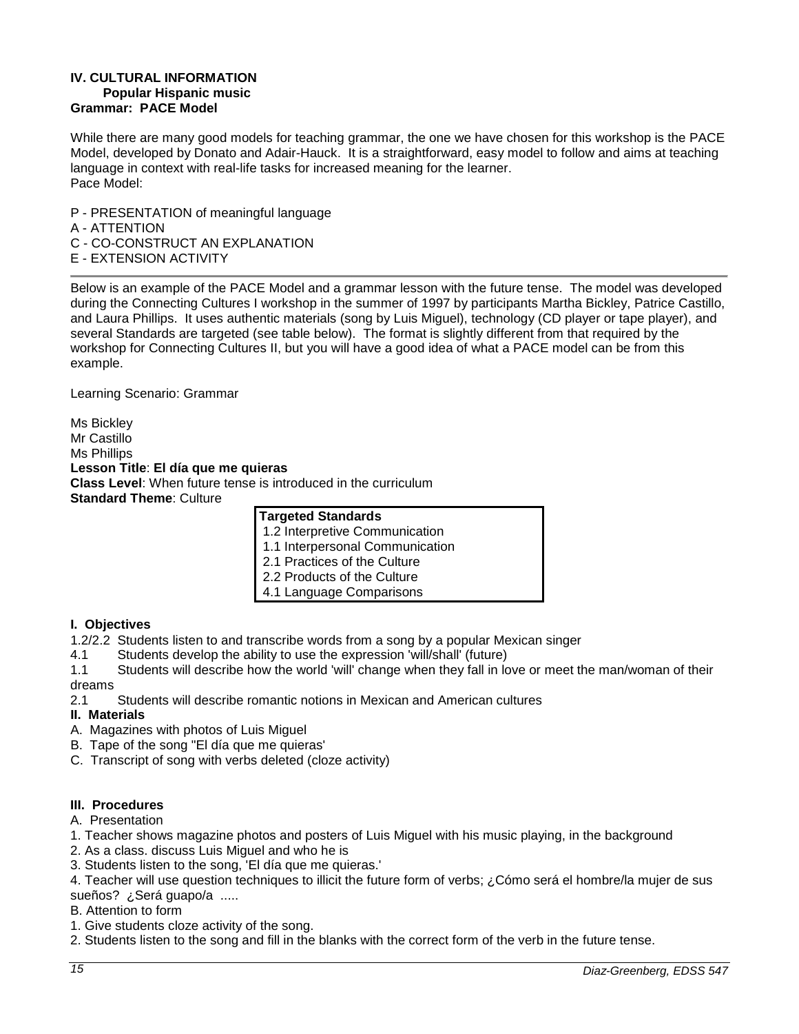#### **IV. CULTURAL INFORMATION Popular Hispanic music Grammar: PACE Model**

While there are many good models for teaching grammar, the one we have chosen for this workshop is the PACE Model, developed by Donato and Adair-Hauck. It is a straightforward, easy model to follow and aims at teaching language in context with real-life tasks for increased meaning for the learner. Pace Model:

P - PRESENTATION of meaningful language A - ATTENTION C - CO-CONSTRUCT AN EXPLANATION E - EXTENSION ACTIVITY

Below is an example of the PACE Model and a grammar lesson with the future tense. The model was developed during the Connecting Cultures I workshop in the summer of 1997 by participants Martha Bickley, Patrice Castillo, and Laura Phillips. It uses authentic materials (song by Luis Miguel), technology (CD player or tape player), and several Standards are targeted (see table below). The format is slightly different from that required by the workshop for Connecting Cultures II, but you will have a good idea of what a PACE model can be from this example.

Learning Scenario: Grammar

Ms Bickley Mr Castillo Ms Phillips **Lesson Title**: **El día que me quieras Class Level**: When future tense is introduced in the curriculum **Standard Theme**: Culture

| <b>Targeted Standards</b>       |
|---------------------------------|
| 1.2 Interpretive Communication  |
| 1.1 Interpersonal Communication |
| 2.1 Practices of the Culture    |
| 2.2 Products of the Culture     |
| 4.1 Language Comparisons        |

## **I. Objectives**

- 1.2/2.2 Students listen to and transcribe words from a song by a popular Mexican singer
- 4.1 Students develop the ability to use the expression 'will/shall' (future)

1.1 Students will describe how the world 'will' change when they fall in love or meet the man/woman of their dreams

2.1 Students will describe romantic notions in Mexican and American cultures

## **II. Materials**

- A. Magazines with photos of Luis Miguel
- B. Tape of the song "El día que me quieras'
- C. Transcript of song with verbs deleted (cloze activity)

## **III. Procedures**

- A. Presentation
- 1. Teacher shows magazine photos and posters of Luis Miguel with his music playing, in the background
- 2. As a class. discuss Luis Miguel and who he is
- 3. Students listen to the song, 'El día que me quieras.'

4. Teacher will use question techniques to illicit the future form of verbs; ¿Cómo será el hombre/la mujer de sus sueños? ¿Será guapo/a .....

- B. Attention to form
- 1. Give students cloze activity of the song.
- 2. Students listen to the song and fill in the blanks with the correct form of the verb in the future tense.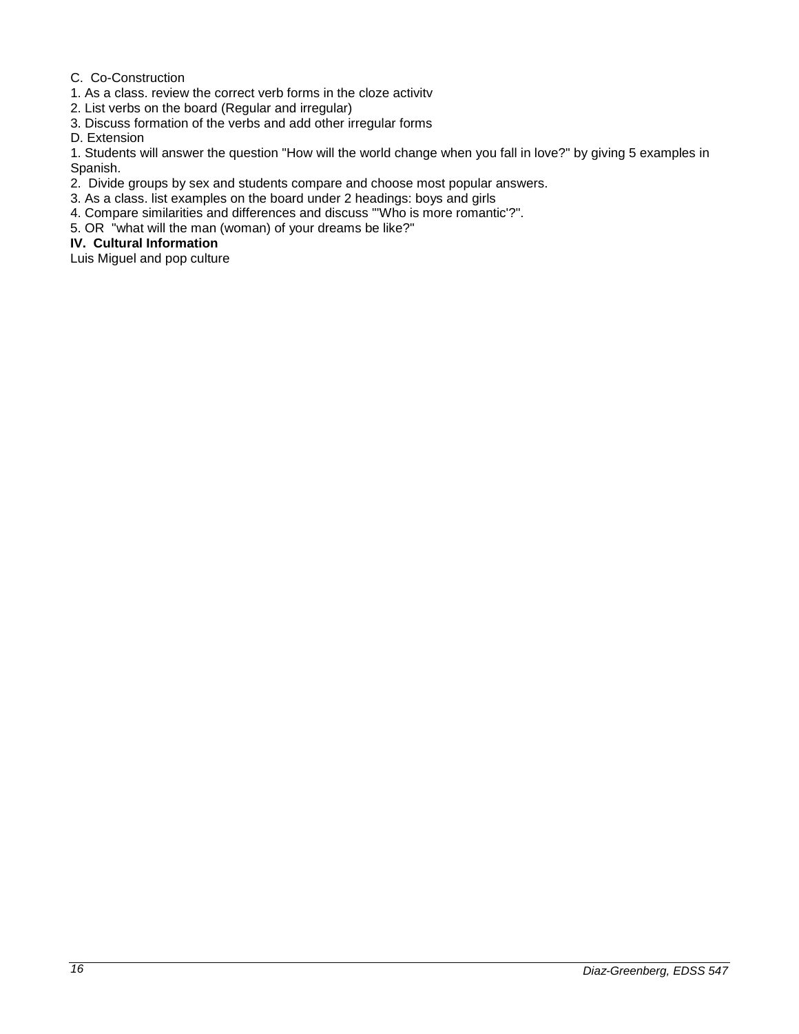## C. Co-Construction

- 1. As a class. review the correct verb forms in the cloze activitv
- 2. List verbs on the board (Regular and irregular)
- 3. Discuss formation of the verbs and add other irregular forms
- D. Extension

1. Students will answer the question "How will the world change when you fall in love?" by giving 5 examples in Spanish.

- 2. Divide groups by sex and students compare and choose most popular answers.
- 3. As a class. list examples on the board under 2 headings: boys and girls
- 4. Compare similarities and differences and discuss "'Who is more romantic'?".
- 5. OR "what will the man (woman) of your dreams be like?"

## **IV. Cultural Information**

Luis Miguel and pop culture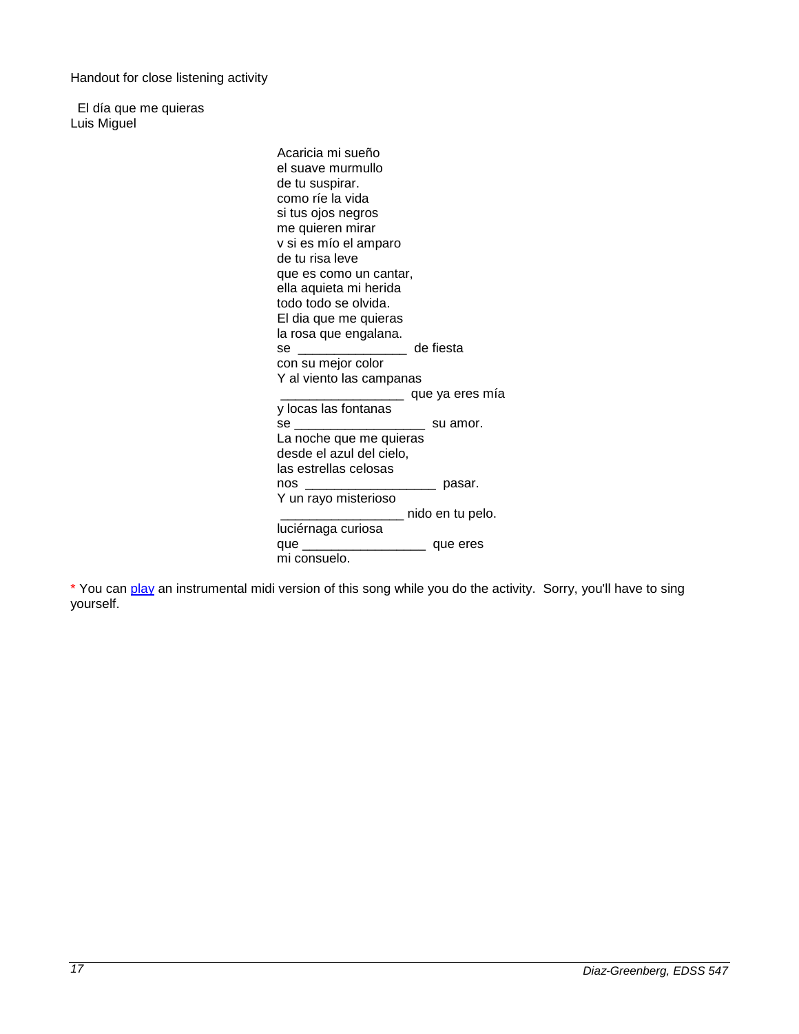Handout for close listening activity

El día que me quieras Luis Miguel

> Acaricia mi sueño el suave murmullo de tu suspirar. como ríe la vida si tus ojos negros me quieren mirar v si es mío el amparo de tu risa leve que es como un cantar, ella aquieta mi herida todo todo se olvida. El dia que me quieras la rosa que engalana. se \_\_\_\_\_\_\_\_\_\_\_\_\_\_\_ de fiesta con su mejor color Y al viento las campanas  $\equiv$  que ya eres mía y locas las fontanas se \_\_\_\_\_\_\_\_\_\_\_\_\_\_\_\_\_\_ su amor. La noche que me quieras desde el azul del cielo, las estrellas celosas<br>nos  $\Box$  pasar. Y un rayo misterioso \_\_\_\_\_\_\_\_\_\_\_\_\_\_\_\_\_ nido en tu pelo. luciérnaga curiosa que \_\_\_\_\_\_\_\_\_\_\_\_\_\_\_\_\_ que eres mi consuelo.

\* You can [play](http://cursofac.femechaco.com/eldiaque%5B1%5D.mid) an instrumental midi version of this song while you do the activity. Sorry, you'll have to sing yourself.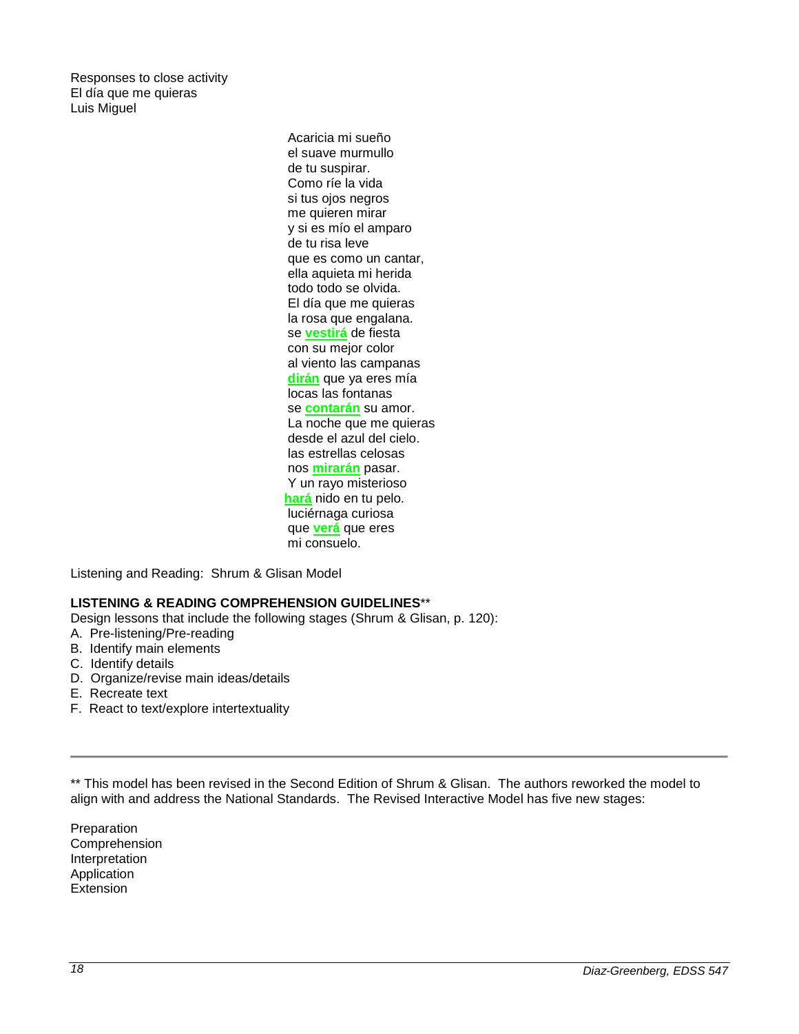Responses to close activity El día que me quieras Luis Miguel

> Acaricia mi sueño el suave murmullo de tu suspirar. Como ríe la vida si tus ojos negros me quieren mirar y si es mío el amparo de tu risa leve que es como un cantar, ella aquieta mi herida todo todo se olvida. El día que me quieras la rosa que engalana. se **vestirá** de fiesta con su mejor color al viento las campanas **dirán** que ya eres mía locas las fontanas se **contarán** su amor. La noche que me quieras desde el azul del cielo. las estrellas celosas nos **mirarán** pasar. Y un rayo misterioso **hará** nido en tu pelo. luciérnaga curiosa que **verá** que eres mi consuelo.

Listening and Reading: Shrum & Glisan Model

## **LISTENING & READING COMPREHENSION GUIDELINES**\*\*

Design lessons that include the following stages (Shrum & Glisan, p. 120):

- A. Pre-listening/Pre-reading
- B. Identify main elements
- C. Identify details
- D. Organize/revise main ideas/details
- E. Recreate text
- F. React to text/explore intertextuality

\*\* This model has been revised in the Second Edition of Shrum & Glisan. The authors reworked the model to align with and address the National Standards. The Revised Interactive Model has five new stages:

Preparation Comprehension Interpretation Application Extension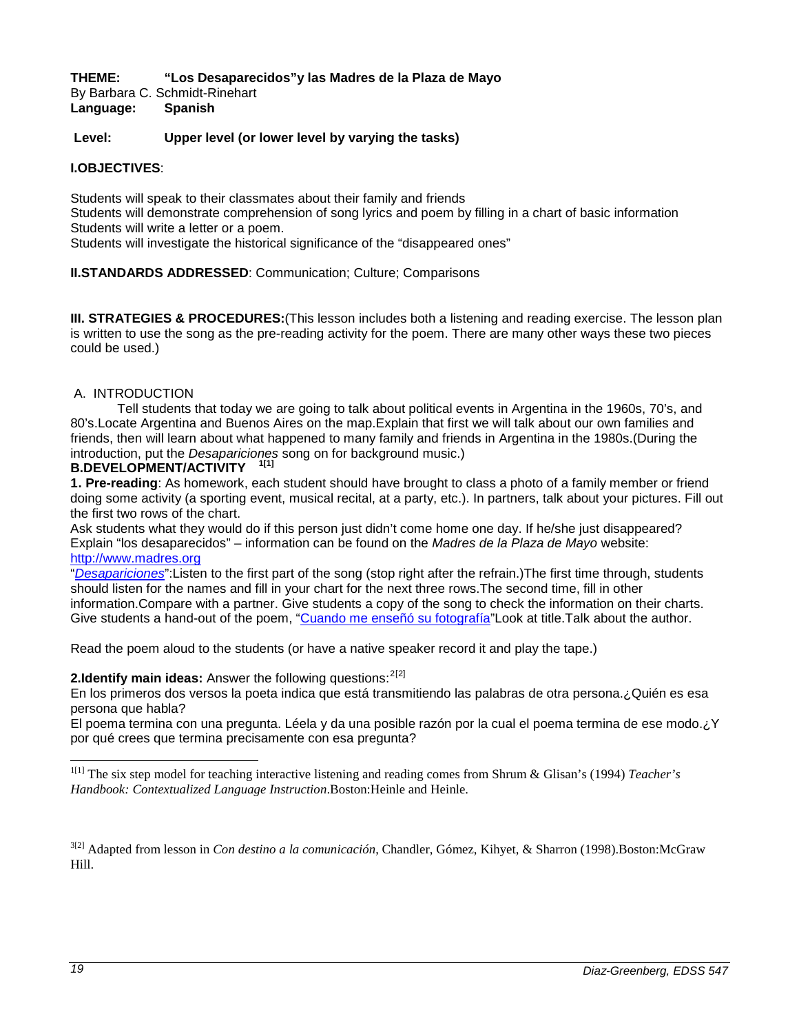**THEME: "Los Desaparecidos"y las Madres de la Plaza de Mayo** By Barbara C. Schmidt-Rinehart **Language: Spanish**

**Level: Upper level (or lower level by varying the tasks)**

#### **I.OBJECTIVES**:

Students will speak to their classmates about their family and friends

Students will demonstrate comprehension of song lyrics and poem by filling in a chart of basic information Students will write a letter or a poem.

Students will investigate the historical significance of the "disappeared ones"

#### **II.STANDARDS ADDRESSED**: Communication; Culture; Comparisons

**III. STRATEGIES & PROCEDURES:**(This lesson includes both a listening and reading exercise. The lesson plan is written to use the song as the pre-reading activity for the poem. There are many other ways these two pieces could be used.)

#### A. INTRODUCTION

Tell students that today we are going to talk about political events in Argentina in the 1960s, 70's, and 80's.Locate Argentina and Buenos Aires on the map.Explain that first we will talk about our own families and friends, then will learn about what happened to many family and friends in Argentina in the 1980s.(During the introduction, put the *Desapariciones* song on for background music.)

#### **B.DEVELOPMENT/ACTIVITY [1](#page-18-0)[1]**

**1[.](#page-18-1) Pre-reading**: As homework, each student should have brought to class a photo of a family member or friend doing some activity (a sporting event, musical recital, at a party, etc.). In partners, talk about your pictures. Fill out the first two rows of the chart.

Ask students what they would do if this person just didn't come home one day. If he/she just disappeared? Explain "los desaparecidos" – information can be found on the *Madres de la Plaza de Mayo* website: [http://www.madres.org](http://www.madres.org/)

"*[Desapariciones](http://www.ashland.edu/~bschmidt/desapariciones.htm)*":Listen to the first part of the song (stop right after the refrain.)The first time through, students should listen for the names and fill in your chart for the next three rows.The second time, fill in other information.Compare with a partner. Give students a copy of the song to check the information on their charts. Give students a hand-out of the poem, ["Cuando me enseñó su fotografía"](http://www.ashland.edu/~bschmidt/cuandomeense%C3%B1%C3%B3.htm)Look at title.Talk about the author.

Read the poem aloud to the students (or have a native speaker record it and play the tape.)

## **[2](#page-18-2).Identify main ideas:** Answer the following questions:<sup>2[\[](#page-18-3)[2\]](#page-18-4)</sup>

En los primeros dos versos la poeta indica que está transmitiendo las palabras de otra persona.¿Quién es esa persona que habla?

El poema termina con una pregunta. Léela y da una posible razón por la cual el poema termina de ese modo.¿Y por qué crees que termina precisamente con esa pregunta?

<span id="page-18-1"></span><span id="page-18-0"></span><sup>1[1]</sup> The six step model for teaching interactive listening and reading comes from Shrum & Glisan's (1994) *Teacher's Handbook: Contextualized Language Instruction*.Boston:Heinle and Heinle.

<span id="page-18-4"></span><span id="page-18-3"></span><span id="page-18-2"></span>3[2] Adapted from lesson in *Con destino a la comunicación*, Chandler, Gómez, Kihyet, & Sharron (1998).Boston:McGraw Hill.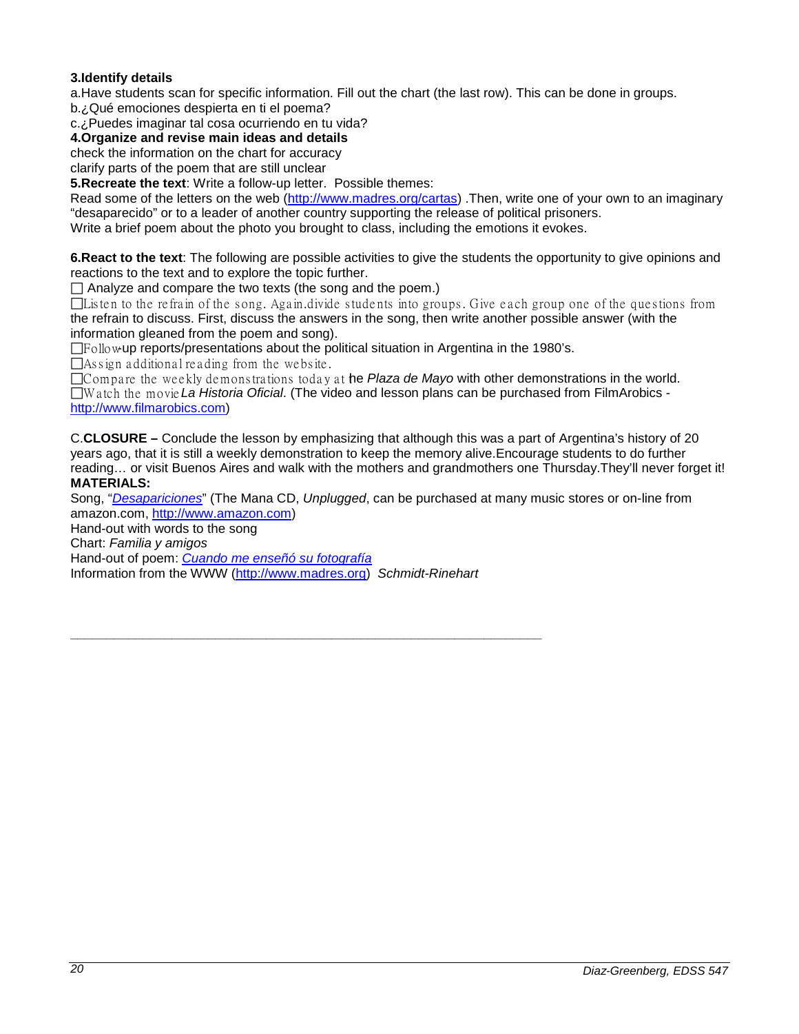## **3.Identify details**

a.Have students scan for specific information. Fill out the chart (the last row). This can be done in groups.

b.¿Qué emociones despierta en ti el poema?

c.¿Puedes imaginar tal cosa ocurriendo en tu vida?

**4.Organize and revise main ideas and details**

check the information on the chart for accuracy

clarify parts of the poem that are still unclear

**5.Recreate the text**: Write a follow-up letter. Possible themes:

Read some of the letters on the web [\(http://www.madres.org/cartas\)](http://www.madres.org/cartas) .Then, write one of your own to an imaginary "desaparecido" or to a leader of another country supporting the release of political prisoners. Write a brief poem about the photo you brought to class, including the emotions it evokes.

**6.React to the text**: The following are possible activities to give the students the opportunity to give opinions and reactions to the text and to explore the topic further.

 $\Box$  Analyze and compare the two texts (the song and the poem.)

 $\Box$ Listen to the refrain of the song. Again divide students into groups. Give each group one of the questions from the refrain to discuss. First, discuss the answers in the song, then write another possible answer (with the information gleaned from the poem and song).

Follow-up reports/presentations about the political situation in Argentina in the 1980's.

 $\Box$  As sign additional reading from the website.

Compare the weekly demonstrations today at the *Plaza de Mayo* with other demonstrations in the world.

Wa tch the movie *La Historia Oficial*. (The video and lesson plans can be purchased from FilmArobics [http://www.filmarobics.com\)](http://www.filmarobics.com/)

C.**CLOSURE –** Conclude the lesson by emphasizing that although this was a part of Argentina's history of 20 years ago, that it is still a weekly demonstration to keep the memory alive.Encourage students to do further reading… or visit Buenos Aires and walk with the mothers and grandmothers one Thursday.They'll never forget it! **MATERIALS:**

Song, "*[Desapariciones](http://www.ashland.edu/~bschmidt/desapariciones.htm)*" (The Mana CD, *Unplugged*, can be purchased at many music stores or on-line from amazon.com, [http://www.amazon.com\)](http://www.amazon.com/)

Hand-out with words to the song

Chart: *Familia y amigos*

Hand-out of poem: *[Cuando me enseñó su fotografía](http://www.ashland.edu/~bschmidt/cuandomeense%C3%B1%C3%B3.htm)*

Information from the WWW [\(http://www.madres.org\)](http://www.madres.org/) *Schmidt-Rinehart*

**\_\_\_\_\_\_\_\_\_\_\_\_\_\_\_\_\_\_\_\_\_\_\_\_\_\_\_\_\_\_\_\_\_\_\_\_\_\_\_\_\_\_\_\_\_\_\_\_\_\_\_\_\_\_\_\_\_\_\_\_\_\_\_\_\_**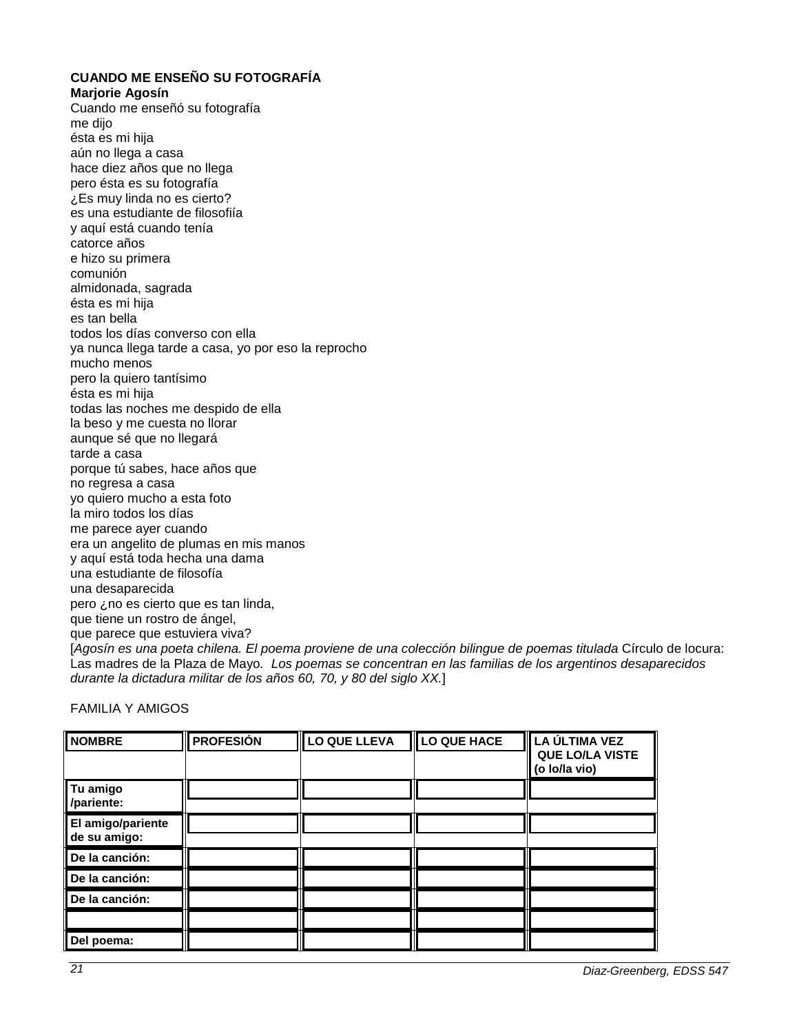**CUANDO ME ENSEÑO SU FOTOGRAFÍA Marjorie Agosín** Cuando me enseñó su fotografía me dijo ésta es mi hija aún no llega a casa hace diez años que no llega pero ésta es su fotografía ¿Es muy linda no es cierto? es una estudiante de filosofiía y aquí está cuando tenía catorce años e hizo su primera comunión almidonada, sagrada ésta es mi hija es tan bella todos los días converso con ella ya nunca llega tarde a casa, yo por eso la reprocho mucho menos pero la quiero tantísimo ésta es mi hija todas las noches me despido de ella la beso y me cuesta no llorar aunque sé que no llegará tarde a casa porque tú sabes, hace años que no regresa a casa yo quiero mucho a esta foto la miro todos los días me parece ayer cuando era un angelito de plumas en mis manos y aquí está toda hecha una dama una estudiante de filosofía una desaparecida pero ¿no es cierto que es tan linda, que tiene un rostro de ángel, que parece que estuviera viva? [*Agosín es una poeta chilena. El poema proviene de una colección bilingue de poemas titulada* Círculo de locura: Las madres de la Plaza de Mayo*. Los poemas se concentran en las familias de los argentinos desaparecidos durante la dictadura militar de los años 60, 70, y 80 del siglo XX.*]

FAMILIA Y AMIGOS

| <b>NOMBRE</b>                     | <b>PROFESIÓN</b> | LO QUE LLEVA | <b>II</b> LO QUE HACE | LA ÚLTIMA VEZ<br>QUE LO/LA VISTE<br>(o lo/la vio) |
|-----------------------------------|------------------|--------------|-----------------------|---------------------------------------------------|
| Tu amigo<br>/pariente:            |                  |              |                       |                                                   |
| El amigo/pariente<br>de su amigo: |                  |              |                       |                                                   |
| De la canción:                    |                  |              |                       |                                                   |
| De la canción:                    |                  |              |                       |                                                   |
| De la canción:                    |                  |              |                       |                                                   |
|                                   |                  |              |                       |                                                   |
| Del poema:                        |                  |              |                       |                                                   |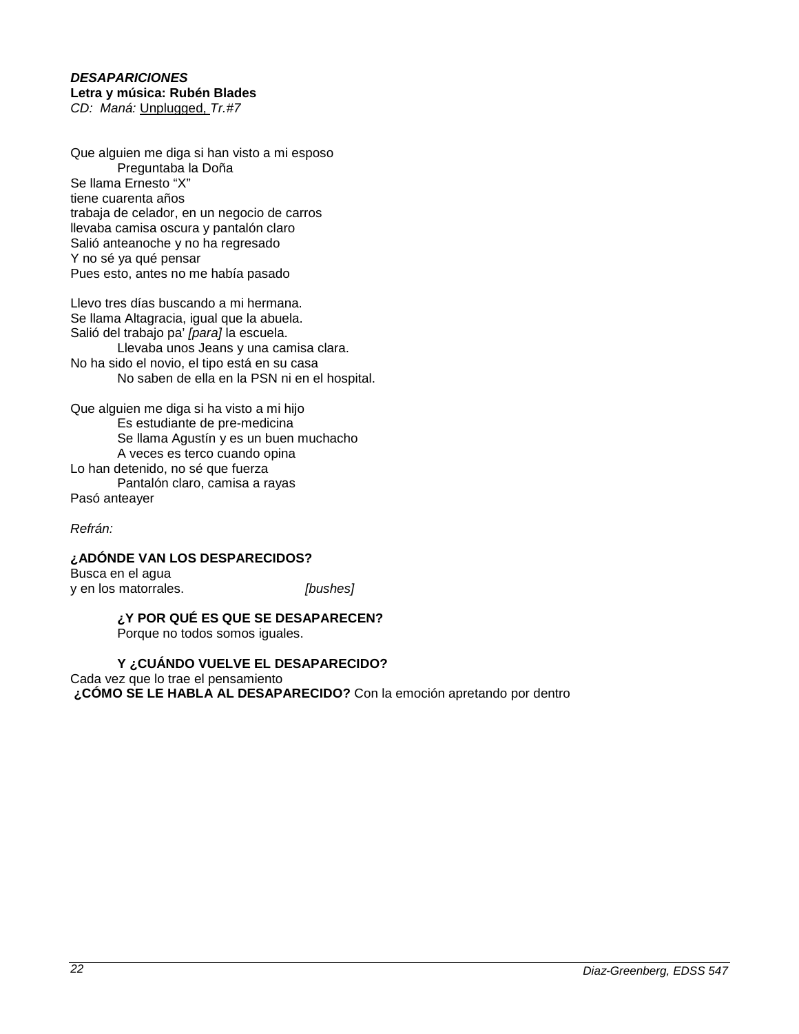#### *DESAPARICIONES* **Letra y música: Rubén Blades** *CD: Maná:* Unplugged, *Tr.#7*

Que alguien me diga si han visto a mi esposo Preguntaba la Doña Se llama Ernesto "X" tiene cuarenta años trabaja de celador, en un negocio de carros llevaba camisa oscura y pantalón claro Salió anteanoche y no ha regresado Y no sé ya qué pensar Pues esto, antes no me había pasado

Llevo tres días buscando a mi hermana. Se llama Altagracia, igual que la abuela. Salió del trabajo pa' *[para]* la escuela. Llevaba unos Jeans y una camisa clara. No ha sido el novio, el tipo está en su casa No saben de ella en la PSN ni en el hospital.

Que alguien me diga si ha visto a mi hijo Es estudiante de pre-medicina Se llama Agustín y es un buen muchacho A veces es terco cuando opina Lo han detenido, no sé que fuerza Pantalón claro, camisa a rayas Pasó anteayer

*Refrán:*

**¿ADÓNDE VAN LOS DESPARECIDOS?** Busca en el agua

y en los matorrales. *[bushes]*

## **¿Y POR QUÉ ES QUE SE DESAPARECEN?**

Porque no todos somos iguales.

## **Y ¿CUÁNDO VUELVE EL DESAPARECIDO?**

Cada vez que lo trae el pensamiento **¿CÓMO SE LE HABLA AL DESAPARECIDO?** Con la emoción apretando por dentro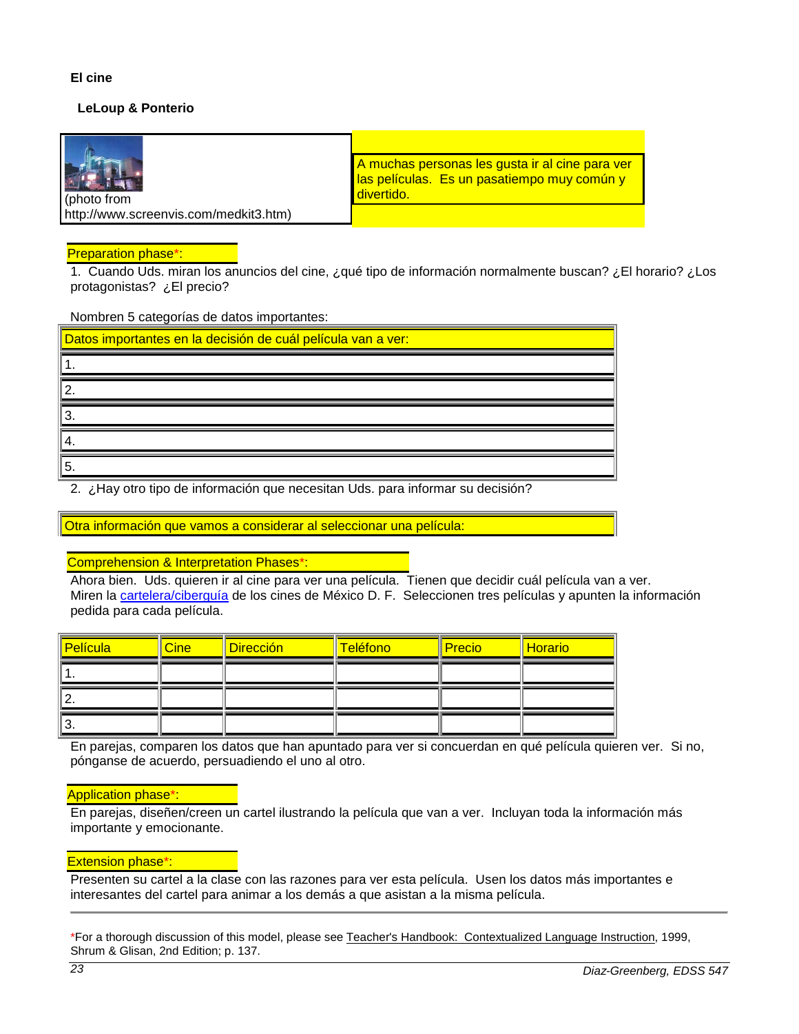## **El cine**

## **LeLoup & Ponterio**

| photo from                            | A muchas personas les gusta ir al cine para ver<br>las películas. Es un pasatiempo muy común y<br>divertido. |
|---------------------------------------|--------------------------------------------------------------------------------------------------------------|
| http://www.screenvis.com/medkit3.htm) |                                                                                                              |

#### Preparation phase\*:

1. Cuando Uds. miran los anuncios del cine, ¿qué tipo de información normalmente buscan? ¿El horario? ¿Los protagonistas? ¿El precio?

Nombren 5 categorías de datos importantes:

| Datos importantes en la decisión de cuál película van a ver: |
|--------------------------------------------------------------|
|                                                              |
| 2                                                            |
|                                                              |
|                                                              |
| 5.                                                           |

2. ¿Hay otro tipo de información que necesitan Uds. para informar su decisión?

Otra información que vamos a considerar al seleccionar una película:

#### Comprehension & Interpretation Phases\*:

Ahora bien. Uds. quieren ir al cine para ver una película. Tienen que decidir cuál película van a ver. Miren la [cartelera/ciberguía](http://madrid.ciudadesnetropolis.com/cine/cartelera.cfm) de los cines de México D. F. Seleccionen tres películas y apunten la información pedida para cada película.

| <b>Película</b> | <b>Cine</b> | <b>Dirección</b> | Teléfono | <b>Precio</b> | <b>Horario</b> |
|-----------------|-------------|------------------|----------|---------------|----------------|
|                 |             |                  |          |               |                |
| <u>.</u>        |             |                  |          |               |                |
| J.              |             |                  |          |               |                |

En parejas, comparen los datos que han apuntado para ver si concuerdan en qué película quieren ver. Si no, pónganse de acuerdo, persuadiendo el uno al otro.

#### Application phase\*:

En parejas, diseñen/creen un cartel ilustrando la película que van a ver. Incluyan toda la información más importante y emocionante.

## Extension phase\*:

Presenten su cartel a la clase con las razones para ver esta película. Usen los datos más importantes e interesantes del cartel para animar a los demás a que asistan a la misma película.

\*For a thorough discussion of this model, please see Teacher's Handbook: Contextualized Language Instruction, 1999, Shrum & Glisan, 2nd Edition; p. 137.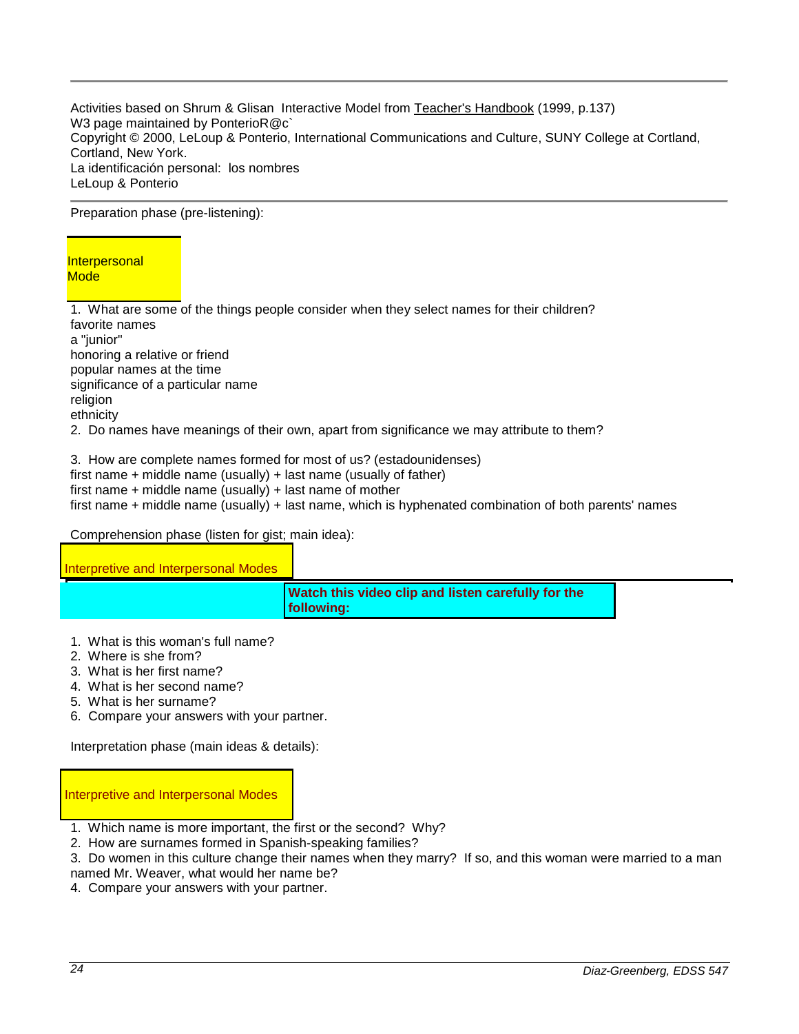Activities based on Shrum & Glisan Interactive Model from Teacher's Handbook (1999, p.137) W3 page maintained by PonterioR@c` Copyright © 2000, LeLoup & Ponterio, International Communications and Culture, SUNY College at Cortland, Cortland, New York. La identificación personal: los nombres LeLoup & Ponterio

Preparation phase (pre-listening):

### **Interpersonal Mode**

1. What are some of the things people consider when they select names for their children? favorite names a "junior" honoring a relative or friend popular names at the time significance of a particular name religion ethnicity

2. Do names have meanings of their own, apart from significance we may attribute to them?

3. How are complete names formed for most of us? (estadounidenses) first name + middle name (usually) + last name (usually of father) first name + middle name (usually) + last name of mother first name + middle name (usually) + last name, which is hyphenated combination of both parents' names

## Comprehension phase (listen for gist; main idea):

| Interpretive and Interpersonal Modes |                                                                          |  |
|--------------------------------------|--------------------------------------------------------------------------|--|
|                                      | Watch this video clip and listen carefully for the<br><b>Ifollowing:</b> |  |

- 1. What is this woman's full name?
- 2. Where is she from?
- 3. What is her first name?
- 4. What is her second name?
- 5. What is her surname?
- 6. Compare your answers with your partner.

Interpretation phase (main ideas & details):

Interpretive and Interpersonal Modes

- 1. Which name is more important, the first or the second? Why?
- 2. How are surnames formed in Spanish-speaking families?
- 3. Do women in this culture change their names when they marry? If so, and this woman were married to a man named Mr. Weaver, what would her name be?
- 4. Compare your answers with your partner.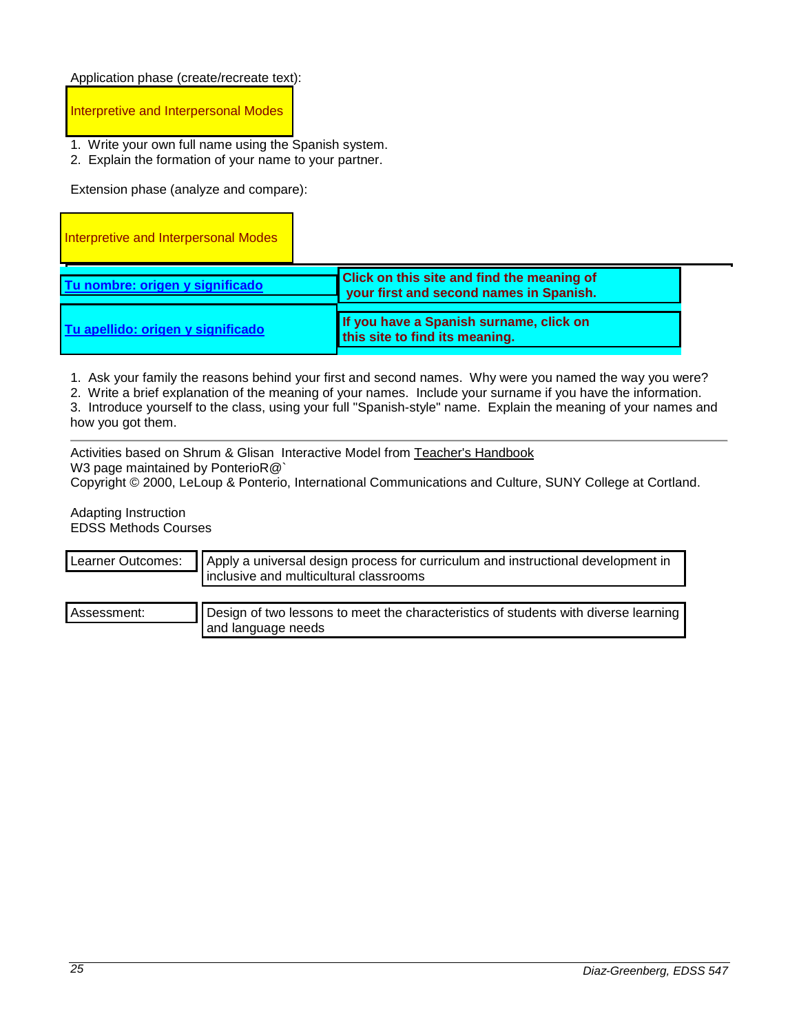Application phase (create/recreate text):

Interpretive and Interpersonal Modes

- 1. Write your own full name using the Spanish system.
- 2. Explain the formation of your name to your partner.

Extension phase (analyze and compare):

| Interpretive and Interpersonal Modes |                                                                                              |  |
|--------------------------------------|----------------------------------------------------------------------------------------------|--|
| Tu nombre: origen y significado      | <b>Click on this site and find the meaning of</b><br>your first and second names in Spanish. |  |
| Tu apellido: origen y significado    | If you have a Spanish surname, click on<br>this site to find its meaning.                    |  |

1. Ask your family the reasons behind your first and second names. Why were you named the way you were?

2. Write a brief explanation of the meaning of your names. Include your surname if you have the information.

3. Introduce yourself to the class, using your full "Spanish-style" name. Explain the meaning of your names and how you got them.

Activities based on Shrum & Glisan Interactive Model from Teacher's Handbook W3 page maintained by PonterioR@`

Copyright © 2000, LeLoup & Ponterio, International Communications and Culture, SUNY College at Cortland.

Adapting Instruction EDSS Methods Courses

| Learner Outcomes: | Apply a universal design process for curriculum and instructional development in<br>inclusive and multicultural classrooms |  |
|-------------------|----------------------------------------------------------------------------------------------------------------------------|--|
| Assessment:       | Design of two lessons to meet the characteristics of students with diverse learning<br>and language needs                  |  |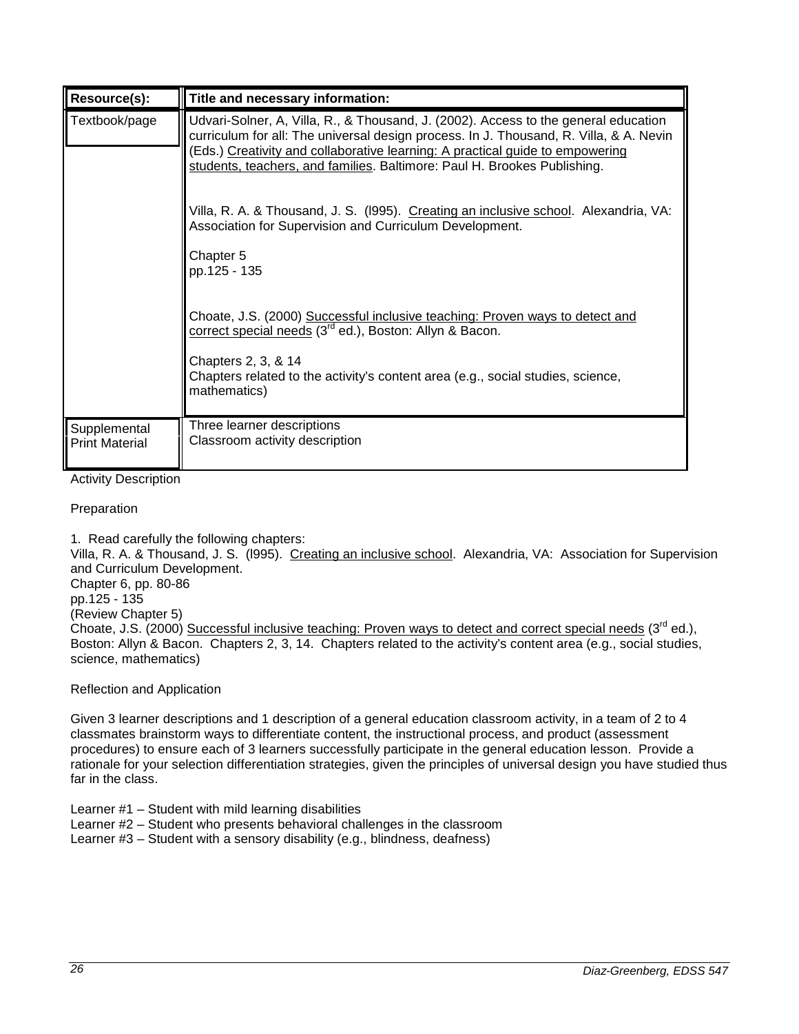| Resource(s):                          | Title and necessary information:                                                                                                                                                                                                                                                                                                           |
|---------------------------------------|--------------------------------------------------------------------------------------------------------------------------------------------------------------------------------------------------------------------------------------------------------------------------------------------------------------------------------------------|
| Textbook/page                         | Udvari-Solner, A, Villa, R., & Thousand, J. (2002). Access to the general education<br>curriculum for all: The universal design process. In J. Thousand, R. Villa, & A. Nevin<br>(Eds.) Creativity and collaborative learning: A practical guide to empowering<br>students, teachers, and families. Baltimore: Paul H. Brookes Publishing. |
|                                       | Villa, R. A. & Thousand, J. S. (1995). Creating an inclusive school. Alexandria, VA:<br>Association for Supervision and Curriculum Development.                                                                                                                                                                                            |
|                                       | Chapter 5<br>pp.125 - 135                                                                                                                                                                                                                                                                                                                  |
|                                       | Choate, J.S. (2000) Successful inclusive teaching: Proven ways to detect and<br>correct special needs (3 <sup>rd</sup> ed.), Boston: Allyn & Bacon.                                                                                                                                                                                        |
|                                       | Chapters 2, 3, & 14<br>Chapters related to the activity's content area (e.g., social studies, science,<br>mathematics)                                                                                                                                                                                                                     |
| Supplemental<br><b>Print Material</b> | Three learner descriptions<br>Classroom activity description                                                                                                                                                                                                                                                                               |

Activity Description

Preparation

1. Read carefully the following chapters:

Villa, R. A. & Thousand, J. S. (l995). Creating an inclusive school. Alexandria, VA: Association for Supervision and Curriculum Development.

Chapter 6, pp. 80-86 pp.125 - 135

(Review Chapter 5)

Choate, J.S. (2000) Successful inclusive teaching: Proven ways to detect and correct special needs (3<sup>rd</sup> ed.), Boston: Allyn & Bacon. Chapters 2, 3, 14. Chapters related to the activity's content area (e.g., social studies, science, mathematics)

Reflection and Application

Given 3 learner descriptions and 1 description of a general education classroom activity, in a team of 2 to 4 classmates brainstorm ways to differentiate content, the instructional process, and product (assessment procedures) to ensure each of 3 learners successfully participate in the general education lesson. Provide a rationale for your selection differentiation strategies, given the principles of universal design you have studied thus far in the class.

Learner #1 – Student with mild learning disabilities

Learner #2 – Student who presents behavioral challenges in the classroom

Learner #3 – Student with a sensory disability (e.g., blindness, deafness)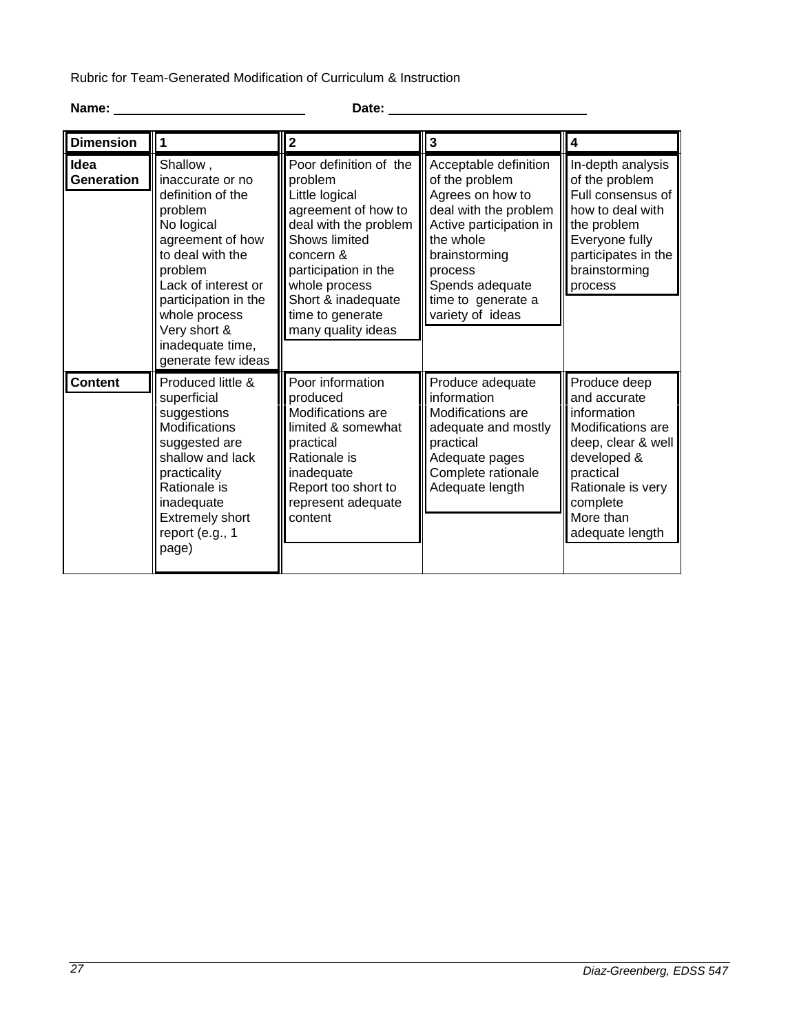Rubric for Team-Generated Modification of Curriculum & Instruction

# **Name: Date:**

| <b>Dimension</b>   |                                                                                                                                                                                                               | $\mathbf{2}$                                                                                                                                                                                                                               | 3                                                                                                                                                                                                                     | 4                                                                                                                                                                |
|--------------------|---------------------------------------------------------------------------------------------------------------------------------------------------------------------------------------------------------------|--------------------------------------------------------------------------------------------------------------------------------------------------------------------------------------------------------------------------------------------|-----------------------------------------------------------------------------------------------------------------------------------------------------------------------------------------------------------------------|------------------------------------------------------------------------------------------------------------------------------------------------------------------|
| Idea<br>Generation | Shallow,<br>inaccurate or no<br>definition of the<br>problem<br>No logical<br>agreement of how<br>to deal with the<br>problem<br>Lack of interest or<br>participation in the<br>whole process<br>Very short & | Poor definition of the<br>problem<br>Little logical<br>agreement of how to<br>deal with the problem<br>Shows limited<br>concern &<br>participation in the<br>whole process<br>Short & inadequate<br>time to generate<br>many quality ideas | Acceptable definition<br>of the problem<br>Agrees on how to<br>deal with the problem<br>Active participation in<br>the whole<br>brainstorming<br>process<br>Spends adequate<br>time to generate a<br>variety of ideas | In-depth analysis<br>of the problem<br>Full consensus of<br>how to deal with<br>the problem<br>Everyone fully<br>participates in the<br>brainstorming<br>process |
| <b>Content</b>     | inadequate time,<br>generate few ideas<br>Produced little &<br>superficial<br>suggestions                                                                                                                     | Poor information<br>produced<br><b>Modifications</b> are                                                                                                                                                                                   | Produce adequate<br>information<br><b>Modifications</b> are                                                                                                                                                           | Produce deep<br>and accurate<br>information                                                                                                                      |
|                    | <b>Modifications</b><br>suggested are<br>shallow and lack<br>practicality<br>Rationale is<br>inadequate<br><b>Extremely short</b><br>report (e.g., 1<br>page)                                                 | limited & somewhat<br>practical<br>Rationale is<br>inadequate<br>Report too short to<br>represent adequate<br>content                                                                                                                      | adequate and mostly<br>practical<br>Adequate pages<br>Complete rationale<br>Adequate length                                                                                                                           | Modifications are<br>deep, clear & well<br>developed &<br>practical<br>Rationale is very<br>complete<br>More than<br>adequate length                             |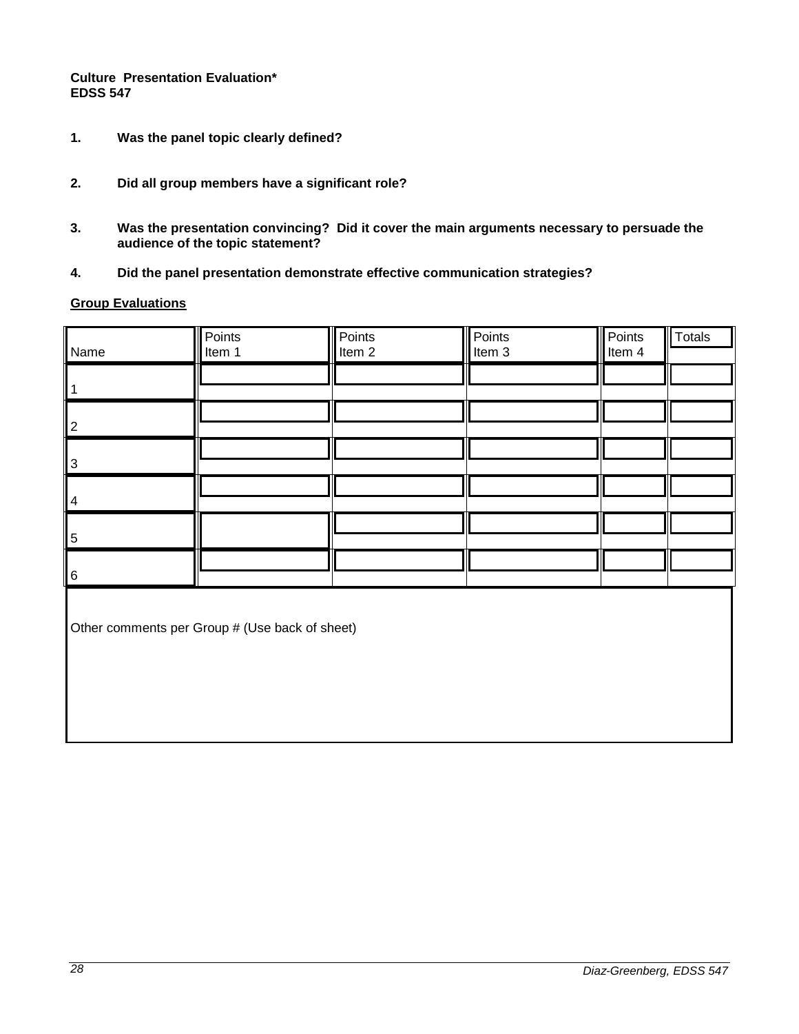## **Culture Presentation Evaluation\* EDSS 547**

- **1. Was the panel topic clearly defined?**
- **2. Did all group members have a significant role?**
- **3. Was the presentation convincing? Did it cover the main arguments necessary to persuade the audience of the topic statement?**
- **4. Did the panel presentation demonstrate effective communication strategies?**

## **Group Evaluations**

| Name                                           | Points<br>Item 1 | Points<br>Item <sub>2</sub> | Points<br>Item 3 | Points<br>Item 4 | <b>Totals</b> |
|------------------------------------------------|------------------|-----------------------------|------------------|------------------|---------------|
|                                                |                  |                             |                  |                  |               |
| 2                                              |                  |                             |                  |                  |               |
| 3                                              |                  |                             |                  |                  |               |
| $\vert 4$                                      |                  |                             |                  |                  |               |
| 5                                              |                  |                             |                  |                  |               |
| $\overline{6}$                                 |                  |                             |                  |                  |               |
| Other comments per Group # (Use back of sheet) |                  |                             |                  |                  |               |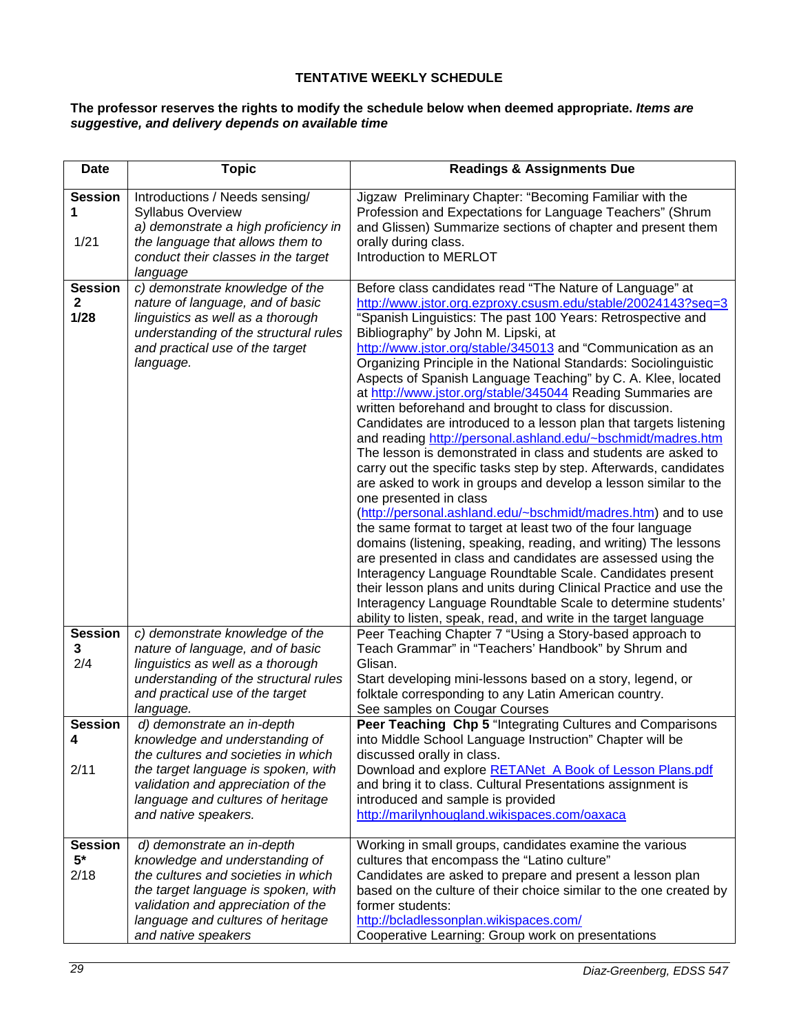## **TENTATIVE WEEKLY SCHEDULE**

#### <span id="page-28-0"></span>**The professor reserves the rights to modify the schedule below when deemed appropriate.** *Items are suggestive, and delivery depends on available time*

| <b>Date</b>                            | <b>Topic</b>                                                                                                                                                                                                                                  | <b>Readings &amp; Assignments Due</b>                                                                                                                                                                                                                                                                                                                                                                                                                                                                                                                                                                                                                                                                                                                                                                                                                                                                                                                                                                                                                                                                                                                                                                                                                                                                                                   |
|----------------------------------------|-----------------------------------------------------------------------------------------------------------------------------------------------------------------------------------------------------------------------------------------------|-----------------------------------------------------------------------------------------------------------------------------------------------------------------------------------------------------------------------------------------------------------------------------------------------------------------------------------------------------------------------------------------------------------------------------------------------------------------------------------------------------------------------------------------------------------------------------------------------------------------------------------------------------------------------------------------------------------------------------------------------------------------------------------------------------------------------------------------------------------------------------------------------------------------------------------------------------------------------------------------------------------------------------------------------------------------------------------------------------------------------------------------------------------------------------------------------------------------------------------------------------------------------------------------------------------------------------------------|
| <b>Session</b><br>1<br>1/21            | Introductions / Needs sensing/<br><b>Syllabus Overview</b><br>a) demonstrate a high proficiency in<br>the language that allows them to<br>conduct their classes in the target                                                                 | Jigzaw Preliminary Chapter: "Becoming Familiar with the<br>Profession and Expectations for Language Teachers" (Shrum<br>and Glissen) Summarize sections of chapter and present them<br>orally during class.<br>Introduction to MERLOT                                                                                                                                                                                                                                                                                                                                                                                                                                                                                                                                                                                                                                                                                                                                                                                                                                                                                                                                                                                                                                                                                                   |
| <b>Session</b><br>$\mathbf{2}$<br>1/28 | language<br>c) demonstrate knowledge of the<br>nature of language, and of basic<br>linguistics as well as a thorough<br>understanding of the structural rules<br>and practical use of the target<br>language.                                 | Before class candidates read "The Nature of Language" at<br>http://www.jstor.org.ezproxy.csusm.edu/stable/20024143?seq=3<br>"Spanish Linguistics: The past 100 Years: Retrospective and<br>Bibliography" by John M. Lipski, at<br>http://www.jstor.org/stable/345013 and "Communication as an<br>Organizing Principle in the National Standards: Sociolinguistic<br>Aspects of Spanish Language Teaching" by C. A. Klee, located<br>at http://www.jstor.org/stable/345044 Reading Summaries are<br>written beforehand and brought to class for discussion.<br>Candidates are introduced to a lesson plan that targets listening<br>and reading http://personal.ashland.edu/~bschmidt/madres.htm<br>The lesson is demonstrated in class and students are asked to<br>carry out the specific tasks step by step. Afterwards, candidates<br>are asked to work in groups and develop a lesson similar to the<br>one presented in class<br>(http://personal.ashland.edu/~bschmidt/madres.htm) and to use<br>the same format to target at least two of the four language<br>domains (listening, speaking, reading, and writing) The lessons<br>are presented in class and candidates are assessed using the<br>Interagency Language Roundtable Scale. Candidates present<br>their lesson plans and units during Clinical Practice and use the |
| <b>Session</b><br>3<br>2/4             | c) demonstrate knowledge of the<br>nature of language, and of basic<br>linguistics as well as a thorough<br>understanding of the structural rules<br>and practical use of the target<br>language.                                             | Interagency Language Roundtable Scale to determine students'<br>ability to listen, speak, read, and write in the target language<br>Peer Teaching Chapter 7 "Using a Story-based approach to<br>Teach Grammar" in "Teachers' Handbook" by Shrum and<br>Glisan.<br>Start developing mini-lessons based on a story, legend, or<br>folktale corresponding to any Latin American country.<br>See samples on Cougar Courses                                                                                                                                                                                                                                                                                                                                                                                                                                                                                                                                                                                                                                                                                                                                                                                                                                                                                                                  |
| <b>Session</b><br>Λ<br>2/11            | d) demonstrate an in-depth<br>knowledge and understanding of<br>the cultures and societies in which<br>the target language is spoken, with<br>validation and appreciation of the<br>language and cultures of heritage<br>and native speakers. | Peer Teaching Chp 5 "Integrating Cultures and Comparisons<br>into Middle School Language Instruction" Chapter will be<br>discussed orally in class.<br>Download and explore RETANet_A Book of Lesson Plans.pdf<br>and bring it to class. Cultural Presentations assignment is<br>introduced and sample is provided<br>http://marilynhougland.wikispaces.com/oaxaca                                                                                                                                                                                                                                                                                                                                                                                                                                                                                                                                                                                                                                                                                                                                                                                                                                                                                                                                                                      |
| <b>Session</b><br>$5*$<br>2/18         | d) demonstrate an in-depth<br>knowledge and understanding of<br>the cultures and societies in which<br>the target language is spoken, with<br>validation and appreciation of the<br>language and cultures of heritage<br>and native speakers  | Working in small groups, candidates examine the various<br>cultures that encompass the "Latino culture"<br>Candidates are asked to prepare and present a lesson plan<br>based on the culture of their choice similar to the one created by<br>former students:<br>http://bcladlessonplan.wikispaces.com/<br>Cooperative Learning: Group work on presentations                                                                                                                                                                                                                                                                                                                                                                                                                                                                                                                                                                                                                                                                                                                                                                                                                                                                                                                                                                           |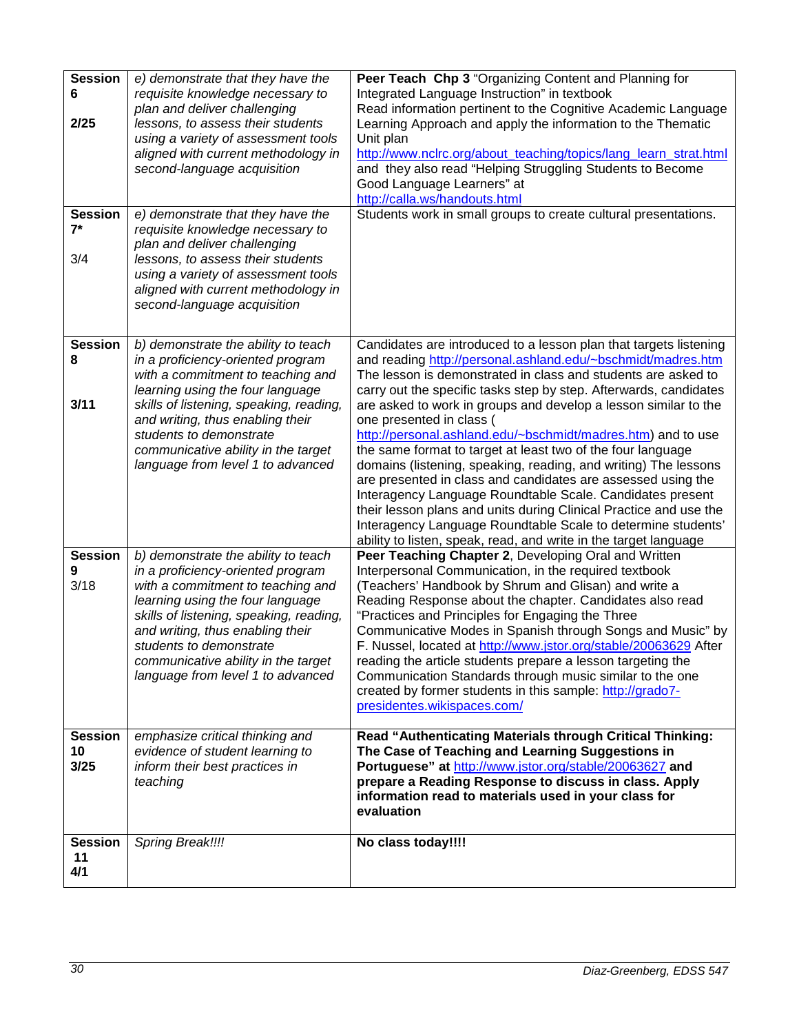| <b>Session</b>          | e) demonstrate that they have the                                        | Peer Teach Chp 3 "Organizing Content and Planning for                                                                             |
|-------------------------|--------------------------------------------------------------------------|-----------------------------------------------------------------------------------------------------------------------------------|
| 6                       | requisite knowledge necessary to                                         | Integrated Language Instruction" in textbook                                                                                      |
|                         | plan and deliver challenging                                             | Read information pertinent to the Cognitive Academic Language                                                                     |
| 2/25                    | lessons, to assess their students                                        | Learning Approach and apply the information to the Thematic                                                                       |
|                         | using a variety of assessment tools                                      | Unit plan                                                                                                                         |
|                         | aligned with current methodology in                                      | http://www.nclrc.org/about_teaching/topics/lang_learn_strat.html                                                                  |
|                         | second-language acquisition                                              | and they also read "Helping Struggling Students to Become                                                                         |
|                         |                                                                          | Good Language Learners" at                                                                                                        |
|                         |                                                                          | http://calla.ws/handouts.html                                                                                                     |
| <b>Session</b><br>$7^*$ | e) demonstrate that they have the<br>requisite knowledge necessary to    | Students work in small groups to create cultural presentations.                                                                   |
|                         | plan and deliver challenging                                             |                                                                                                                                   |
| 3/4                     | lessons, to assess their students                                        |                                                                                                                                   |
|                         | using a variety of assessment tools                                      |                                                                                                                                   |
|                         | aligned with current methodology in                                      |                                                                                                                                   |
|                         | second-language acquisition                                              |                                                                                                                                   |
|                         |                                                                          |                                                                                                                                   |
| <b>Session</b>          |                                                                          |                                                                                                                                   |
| 8                       | b) demonstrate the ability to teach<br>in a proficiency-oriented program | Candidates are introduced to a lesson plan that targets listening<br>and reading http://personal.ashland.edu/~bschmidt/madres.htm |
|                         | with a commitment to teaching and                                        | The lesson is demonstrated in class and students are asked to                                                                     |
|                         | learning using the four language                                         | carry out the specific tasks step by step. Afterwards, candidates                                                                 |
| 3/11                    | skills of listening, speaking, reading,                                  | are asked to work in groups and develop a lesson similar to the                                                                   |
|                         | and writing, thus enabling their                                         | one presented in class (                                                                                                          |
|                         | students to demonstrate                                                  | http://personal.ashland.edu/~bschmidt/madres.htm) and to use                                                                      |
|                         | communicative ability in the target                                      | the same format to target at least two of the four language                                                                       |
|                         | language from level 1 to advanced                                        | domains (listening, speaking, reading, and writing) The lessons                                                                   |
|                         |                                                                          | are presented in class and candidates are assessed using the                                                                      |
|                         |                                                                          | Interagency Language Roundtable Scale. Candidates present                                                                         |
|                         |                                                                          | their lesson plans and units during Clinical Practice and use the<br>Interagency Language Roundtable Scale to determine students' |
|                         |                                                                          | ability to listen, speak, read, and write in the target language                                                                  |
| <b>Session</b>          | b) demonstrate the ability to teach                                      | Peer Teaching Chapter 2, Developing Oral and Written                                                                              |
| 9                       | in a proficiency-oriented program                                        | Interpersonal Communication, in the required textbook                                                                             |
| 3/18                    | with a commitment to teaching and                                        | (Teachers' Handbook by Shrum and Glisan) and write a                                                                              |
|                         | learning using the four language                                         | Reading Response about the chapter. Candidates also read                                                                          |
|                         | skills of listening, speaking, reading,                                  | "Practices and Principles for Engaging the Three                                                                                  |
|                         | and writing, thus enabling their                                         | Communicative Modes in Spanish through Songs and Music" by                                                                        |
|                         | students to demonstrate                                                  | F. Nussel, located at http://www.jstor.org/stable/20063629 After                                                                  |
|                         | communicative ability in the target                                      | reading the article students prepare a lesson targeting the                                                                       |
|                         | language from level 1 to advanced                                        | Communication Standards through music similar to the one<br>created by former students in this sample: http://grado7-             |
|                         |                                                                          | presidentes.wikispaces.com/                                                                                                       |
|                         |                                                                          |                                                                                                                                   |
| <b>Session</b>          | emphasize critical thinking and                                          | Read "Authenticating Materials through Critical Thinking:                                                                         |
| 10                      | evidence of student learning to                                          | The Case of Teaching and Learning Suggestions in                                                                                  |
| 3/25                    | inform their best practices in                                           | Portuguese" at http://www.jstor.org/stable/20063627 and                                                                           |
|                         | teaching                                                                 | prepare a Reading Response to discuss in class. Apply                                                                             |
|                         |                                                                          | information read to materials used in your class for                                                                              |
|                         |                                                                          | evaluation                                                                                                                        |
| <b>Session</b>          | Spring Break!!!!                                                         | No class today!!!!                                                                                                                |
| 11                      |                                                                          |                                                                                                                                   |
| 4/1                     |                                                                          |                                                                                                                                   |
|                         |                                                                          |                                                                                                                                   |